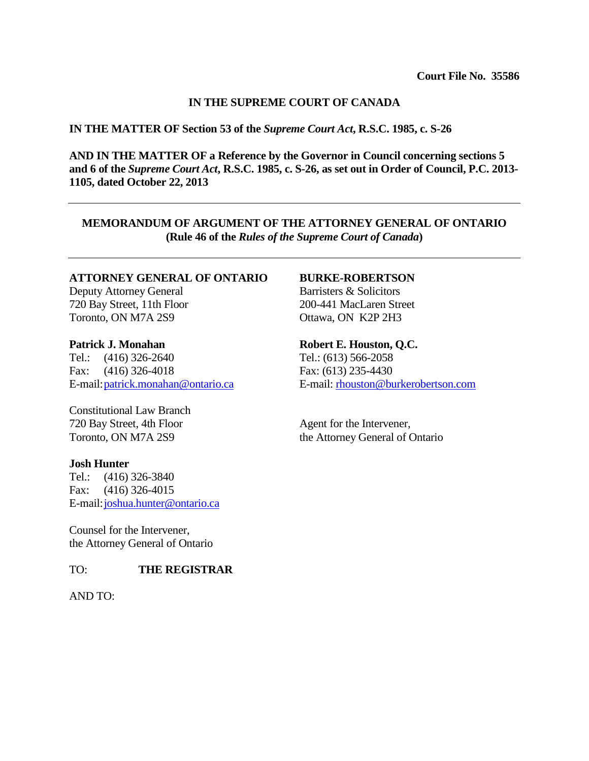## **IN THE SUPREME COURT OF CANADA**

## **IN THE MATTER OF Section 53 of the** *Supreme Court Act***, R.S.C. 1985, c. S-26**

**AND IN THE MATTER OF a Reference by the Governor in Council concerning sections 5 and 6 of the** *Supreme Court Act***, R.S.C. 1985, c. S-26, as set out in Order of Council, P.C. 2013- 1105, dated October 22, 2013**

**MEMORANDUM OF ARGUMENT OF THE ATTORNEY GENERAL OF ONTARIO (Rule 46 of the** *Rules of the Supreme Court of Canada***)**

## **ATTORNEY GENERAL OF ONTARIO**

Deputy Attorney General 720 Bay Street, 11th Floor Toronto, ON M7A 2S9

## **Patrick J. Monahan**

Tel.: (416) 326-2640 Fax: (416) 326-4018 E-mail[:patrick.monahan@ontario.ca](mailto:patrick.monahan@ontario.ca)

Constitutional Law Branch 720 Bay Street, 4th Floor Toronto, ON M7A 2S9

## **Josh Hunter**

Tel.: (416) 326-3840 Fax: (416) 326-4015 E-mail[:joshua.hunter@ontario.ca](mailto:joshua.hunter@ontario.ca)

Counsel for the Intervener, the Attorney General of Ontario

## TO: **THE REGISTRAR**

AND TO:

## **BURKE-ROBERTSON**

Barristers & Solicitors 200-441 MacLaren Street Ottawa, ON K2P 2H3

## **Robert E. Houston, Q.C.**

Tel.: (613) 566-2058 Fax: (613) 235-4430 E-mail: [rhouston@burkerobertson.com](mailto:rhouston@burkerobertson.com)

Agent for the Intervener, the Attorney General of Ontario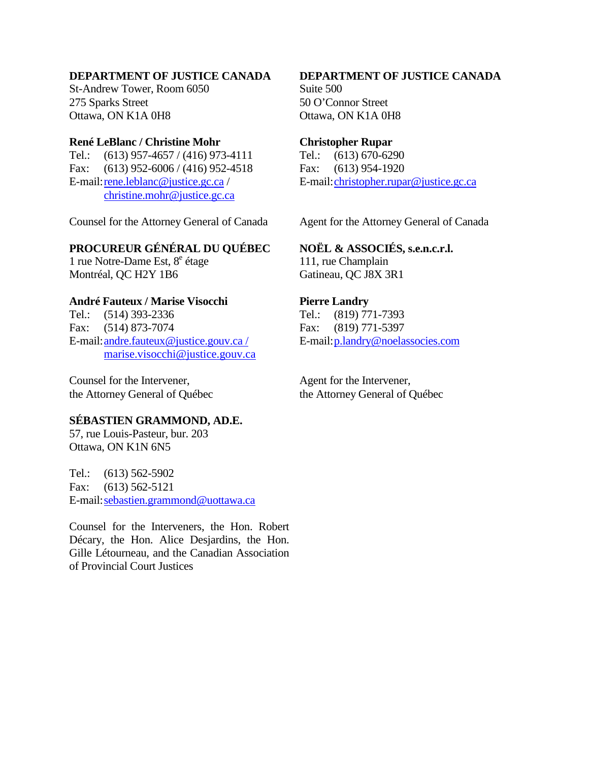# **DEPARTMENT OF JUSTICE CANADA**

St-Andrew Tower, Room 6050 275 Sparks Street Ottawa, ON K1A 0H8

# **René LeBlanc / Christine Mohr**

Tel.: (613) 957-4657 / (416) 973-4111 Fax: (613) 952-6006 / (416) 952-4518 E-mail[:rene.leblanc@justice.gc.ca](mailto:rene.leblanc@justice.gc.ca) / [christine.mohr@justice.gc.ca](mailto:christine.mohr@justice.gc.ca)

Counsel for the Attorney General of Canada

## **PROCUREUR GÉNÉRAL DU QUÉBEC**

1 rue Notre-Dame Est,  $8^e$  étage Montréal, QC H2Y 1B6

# **André Fauteux / Marise Visocchi**

Tel.: (514) 393-2336 Fax: (514) 873-7074 E-mail[:andre.fauteux@justice.gouv.ca](mailto:andre.fauteux@justice.gouv.ca) / [marise.visocchi@justice.gouv.ca](mailto:marise.visocchi@justice.gouv.ca)

Counsel for the Intervener, the Attorney General of Québec

## **SÉBASTIEN GRAMMOND, AD.E.**

57, rue Louis-Pasteur, bur. 203 Ottawa, ON K1N 6N5

Tel.: (613) 562-5902 Fax: (613) 562-5121 E-mail[:sebastien.grammond@uottawa.ca](mailto:sebastien.grammond@uottawa.ca)

Counsel for the Interveners, the Hon. Robert Décary, the Hon. Alice Desjardins, the Hon. Gille Létourneau, and the Canadian Association of Provincial Court Justices

# **DEPARTMENT OF JUSTICE CANADA** Suite 500

50 O'Connor Street Ottawa, ON K1A 0H8

## **Christopher Rupar**

Tel.: (613) 670-6290 Fax: (613) 954-1920 E-mail[:christopher.rupar@justice.gc.ca](mailto:christopher.rupar@justice.gc.ca)

Agent for the Attorney General of Canada

## **NOËL & ASSOCIÉS, s.e.n.c.r.l.**

111, rue Champlain Gatineau, QC J8X 3R1

## **Pierre Landry**

Tel.: (819) 771-7393 Fax: (819) 771-5397 E-mail[:p.landry@noelassocies.com](mailto:p.landry@noelassocies.com)

Agent for the Intervener, the Attorney General of Québec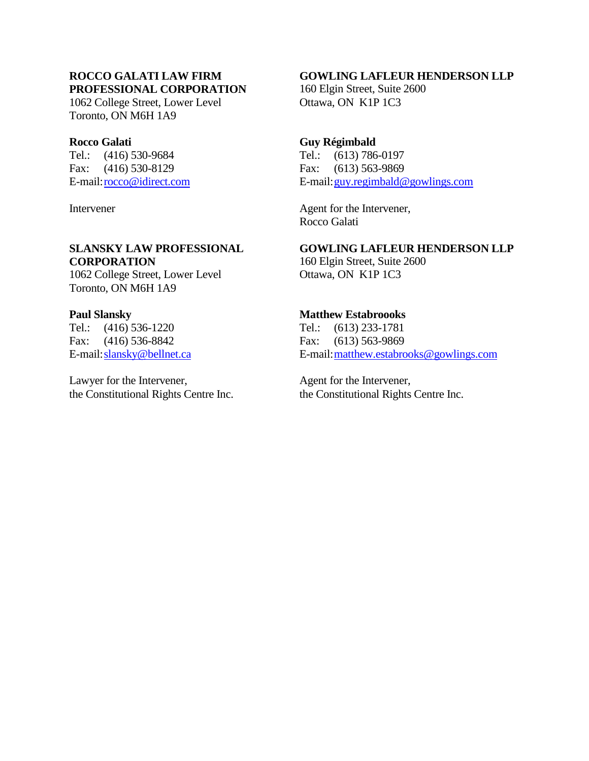# **ROCCO GALATI LAW FIRM PROFESSIONAL CORPORATION**

1062 College Street, Lower Level Toronto, ON M6H 1A9

# **Rocco Galati**

Tel.: (416) 530-9684 Fax: (416) 530-8129 E-mail[:rocco@idirect.com](mailto:rocco@idirect.com)

**Intervener** 

# **SLANSKY LAW PROFESSIONAL CORPORATION**

1062 College Street, Lower Level Toronto, ON M6H 1A9

# **Paul Slansky**

Tel.: (416) 536-1220 Fax: (416) 536-8842 E-mail[:slansky@bellnet.ca](mailto:slansky@bellnet.ca)

Lawyer for the Intervener, the Constitutional Rights Centre Inc.

# **GOWLING LAFLEUR HENDERSON LLP**

160 Elgin Street, Suite 2600 Ottawa, ON K1P 1C3

# **Guy Régimbald**

Tel.: (613) 786-0197 Fax: (613) 563-9869 E-mail[:guy.regimbald@gowlings.com](mailto:guy.regimbald@gowlings.com)

Agent for the Intervener, Rocco Galati

# **GOWLING LAFLEUR HENDERSON LLP**

160 Elgin Street, Suite 2600 Ottawa, ON K1P 1C3

# **Matthew Estabroooks**

Tel.: (613) 233-1781 Fax: (613) 563-9869 E-mail[:matthew.estabrooks@gowlings.com](mailto:matthew.estabrooks@gowlings.com)

Agent for the Intervener, the Constitutional Rights Centre Inc.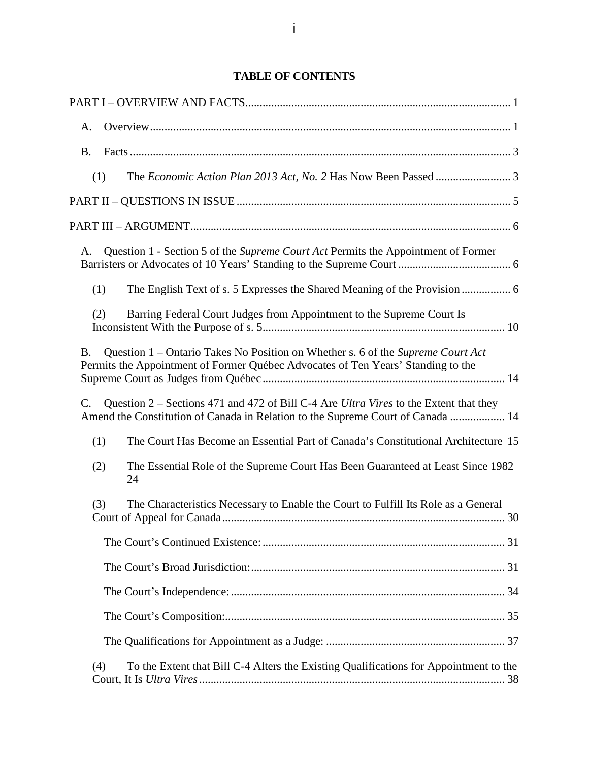# **TABLE OF CONTENTS**

| A.                                                                                                                                                                               |                                                                                                                                                                          |
|----------------------------------------------------------------------------------------------------------------------------------------------------------------------------------|--------------------------------------------------------------------------------------------------------------------------------------------------------------------------|
| <b>B.</b>                                                                                                                                                                        |                                                                                                                                                                          |
| (1)                                                                                                                                                                              |                                                                                                                                                                          |
|                                                                                                                                                                                  |                                                                                                                                                                          |
|                                                                                                                                                                                  |                                                                                                                                                                          |
| A.                                                                                                                                                                               | Question 1 - Section 5 of the Supreme Court Act Permits the Appointment of Former                                                                                        |
| (1)                                                                                                                                                                              |                                                                                                                                                                          |
| Barring Federal Court Judges from Appointment to the Supreme Court Is<br>(2)                                                                                                     |                                                                                                                                                                          |
| Question 1 – Ontario Takes No Position on Whether s. 6 of the Supreme Court Act<br><b>B.</b><br>Permits the Appointment of Former Québec Advocates of Ten Years' Standing to the |                                                                                                                                                                          |
| $\mathbf{C}$ .                                                                                                                                                                   | Question 2 – Sections 471 and 472 of Bill C-4 Are Ultra Vires to the Extent that they<br>Amend the Constitution of Canada in Relation to the Supreme Court of Canada  14 |
| (1)                                                                                                                                                                              | The Court Has Become an Essential Part of Canada's Constitutional Architecture 15                                                                                        |
| (2)<br>24                                                                                                                                                                        | The Essential Role of the Supreme Court Has Been Guaranteed at Least Since 1982                                                                                          |
| (3)                                                                                                                                                                              | The Characteristics Necessary to Enable the Court to Fulfill Its Role as a General                                                                                       |
|                                                                                                                                                                                  |                                                                                                                                                                          |
|                                                                                                                                                                                  |                                                                                                                                                                          |
|                                                                                                                                                                                  |                                                                                                                                                                          |
|                                                                                                                                                                                  |                                                                                                                                                                          |
|                                                                                                                                                                                  |                                                                                                                                                                          |
| (4)                                                                                                                                                                              | To the Extent that Bill C-4 Alters the Existing Qualifications for Appointment to the<br>38                                                                              |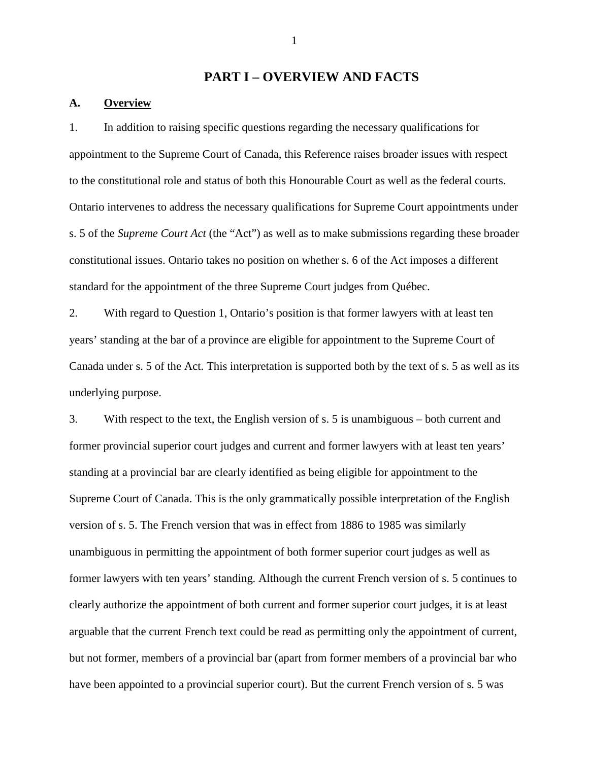## <span id="page-5-0"></span>**PART I – OVERVIEW AND FACTS**

## <span id="page-5-1"></span>**A. Overview**

1. In addition to raising specific questions regarding the necessary qualifications for appointment to the Supreme Court of Canada, this Reference raises broader issues with respect to the constitutional role and status of both this Honourable Court as well as the federal courts. Ontario intervenes to address the necessary qualifications for Supreme Court appointments under s. 5 of the *Supreme Court Act* (the "Act") as well as to make submissions regarding these broader constitutional issues. Ontario takes no position on whether s. 6 of the Act imposes a different standard for the appointment of the three Supreme Court judges from Québec.

2. With regard to Question 1, Ontario's position is that former lawyers with at least ten years' standing at the bar of a province are eligible for appointment to the Supreme Court of Canada under s. 5 of the Act. This interpretation is supported both by the text of s. 5 as well as its underlying purpose.

3. With respect to the text, the English version of s. 5 is unambiguous – both current and former provincial superior court judges and current and former lawyers with at least ten years' standing at a provincial bar are clearly identified as being eligible for appointment to the Supreme Court of Canada. This is the only grammatically possible interpretation of the English version of s. 5. The French version that was in effect from 1886 to 1985 was similarly unambiguous in permitting the appointment of both former superior court judges as well as former lawyers with ten years' standing. Although the current French version of s. 5 continues to clearly authorize the appointment of both current and former superior court judges, it is at least arguable that the current French text could be read as permitting only the appointment of current, but not former, members of a provincial bar (apart from former members of a provincial bar who have been appointed to a provincial superior court). But the current French version of s. 5 was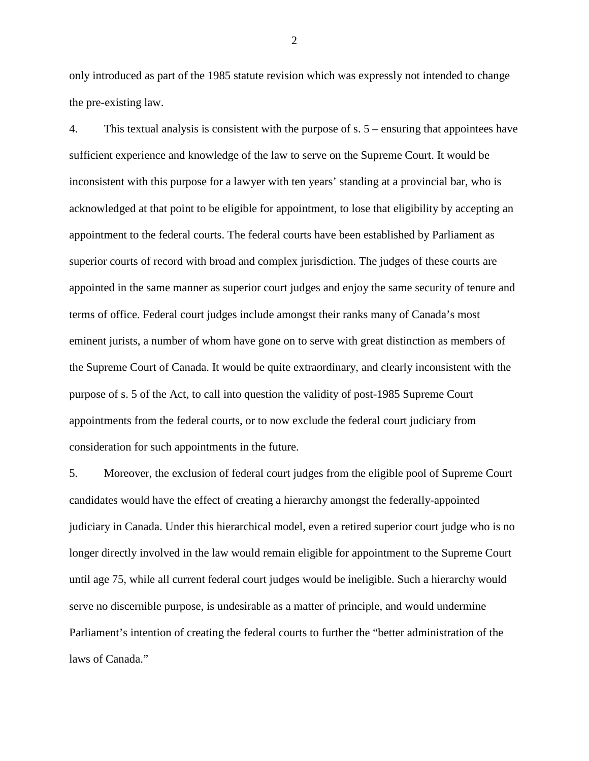only introduced as part of the 1985 statute revision which was expressly not intended to change the pre-existing law.

4. This textual analysis is consistent with the purpose of s. 5 – ensuring that appointees have sufficient experience and knowledge of the law to serve on the Supreme Court. It would be inconsistent with this purpose for a lawyer with ten years' standing at a provincial bar, who is acknowledged at that point to be eligible for appointment, to lose that eligibility by accepting an appointment to the federal courts. The federal courts have been established by Parliament as superior courts of record with broad and complex jurisdiction. The judges of these courts are appointed in the same manner as superior court judges and enjoy the same security of tenure and terms of office. Federal court judges include amongst their ranks many of Canada's most eminent jurists, a number of whom have gone on to serve with great distinction as members of the Supreme Court of Canada. It would be quite extraordinary, and clearly inconsistent with the purpose of s. 5 of the Act, to call into question the validity of post-1985 Supreme Court appointments from the federal courts, or to now exclude the federal court judiciary from consideration for such appointments in the future.

5. Moreover, the exclusion of federal court judges from the eligible pool of Supreme Court candidates would have the effect of creating a hierarchy amongst the federally-appointed judiciary in Canada. Under this hierarchical model, even a retired superior court judge who is no longer directly involved in the law would remain eligible for appointment to the Supreme Court until age 75, while all current federal court judges would be ineligible. Such a hierarchy would serve no discernible purpose, is undesirable as a matter of principle, and would undermine Parliament's intention of creating the federal courts to further the "better administration of the laws of Canada."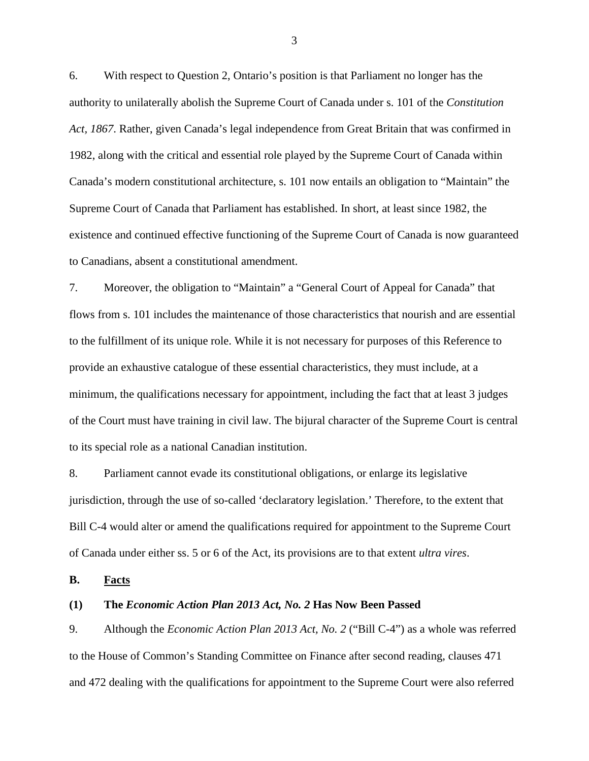6. With respect to Question 2, Ontario's position is that Parliament no longer has the authority to unilaterally abolish the Supreme Court of Canada under s. 101 of the *Constitution Act, 1867*. Rather, given Canada's legal independence from Great Britain that was confirmed in 1982, along with the critical and essential role played by the Supreme Court of Canada within Canada's modern constitutional architecture, s. 101 now entails an obligation to "Maintain" the Supreme Court of Canada that Parliament has established. In short, at least since 1982, the existence and continued effective functioning of the Supreme Court of Canada is now guaranteed to Canadians, absent a constitutional amendment.

7. Moreover, the obligation to "Maintain" a "General Court of Appeal for Canada" that flows from s. 101 includes the maintenance of those characteristics that nourish and are essential to the fulfillment of its unique role. While it is not necessary for purposes of this Reference to provide an exhaustive catalogue of these essential characteristics, they must include, at a minimum, the qualifications necessary for appointment, including the fact that at least 3 judges of the Court must have training in civil law. The bijural character of the Supreme Court is central to its special role as a national Canadian institution.

8. Parliament cannot evade its constitutional obligations, or enlarge its legislative jurisdiction, through the use of so-called 'declaratory legislation.' Therefore, to the extent that Bill C-4 would alter or amend the qualifications required for appointment to the Supreme Court of Canada under either ss. 5 or 6 of the Act, its provisions are to that extent *ultra vires*.

<span id="page-7-0"></span>**B. Facts**

## <span id="page-7-1"></span>**(1) The** *Economic Action Plan 2013 Act, No. 2* **Has Now Been Passed**

9. Although the *Economic Action Plan 2013 Act, No. 2* ("Bill C-4") as a whole was referred to the House of Common's Standing Committee on Finance after second reading, clauses 471 and 472 dealing with the qualifications for appointment to the Supreme Court were also referred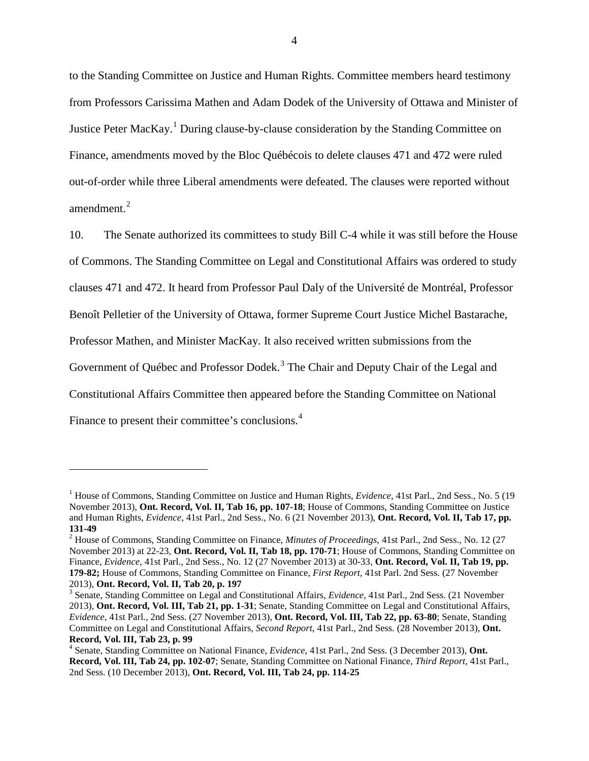to the Standing Committee on Justice and Human Rights. Committee members heard testimony from Professors Carissima Mathen and Adam Dodek of the University of Ottawa and Minister of Justice Peter MacKay.<sup>[1](#page-8-0)</sup> During clause-by-clause consideration by the Standing Committee on Finance, amendments moved by the Bloc Québécois to delete clauses 471 and 472 were ruled out-of-order while three Liberal amendments were defeated. The clauses were reported without amendment. $2$ 

10. The Senate authorized its committees to study Bill C-4 while it was still before the House of Commons. The Standing Committee on Legal and Constitutional Affairs was ordered to study clauses 471 and 472. It heard from Professor Paul Daly of the Université de Montréal, Professor Benoît Pelletier of the University of Ottawa, former Supreme Court Justice Michel Bastarache, Professor Mathen, and Minister MacKay. It also received written submissions from the Government of Québec and Professor Dodek.<sup>[3](#page-8-2)</sup> The Chair and Deputy Chair of the Legal and Constitutional Affairs Committee then appeared before the Standing Committee on National Finance to present their committee's conclusions.<sup>[4](#page-8-3)</sup>

<span id="page-8-0"></span><sup>&</sup>lt;sup>1</sup> House of Commons, Standing Committee on Justice and Human Rights, *Evidence*, 41st Parl., 2nd Sess., No. 5 (19 November 2013), **Ont. Record, Vol. II, Tab 16, pp. 107-18**; House of Commons, Standing Committee on Justice and Human Rights, *Evidence*, 41st Parl., 2nd Sess., No. 6 (21 November 2013), **Ont. Record, Vol. II, Tab 17, pp.** 

<span id="page-8-1"></span><sup>&</sup>lt;sup>2</sup> House of Commons, Standing Committee on Finance, *Minutes of Proceedings*, 41st Parl., 2nd Sess., No. 12 (27 November 2013) at 22-23, **Ont. Record, Vol. II, Tab 18, pp. 170-71**; House of Commons, Standing Committee on Finance, *Evidence*, 41st Parl., 2nd Sess., No. 12 (27 November 2013) at 30-33, **Ont. Record, Vol. II, Tab 19, pp. 179-82;** House of Commons, Standing Committee on Finance, *First Report*, 41st Parl. 2nd Sess. (27 November 2013), **Ont. Record, Vol. II, Tab 20, p. 197**<br><sup>3</sup> Senate, Standing Committee on Legal and Constitutional Affairs, *Evidence*, 41st Parl., 2nd Sess. (21 November

<span id="page-8-2"></span><sup>2013),</sup> **Ont. Record, Vol. III, Tab 21, pp. 1-31**; Senate, Standing Committee on Legal and Constitutional Affairs, *Evidence*, 41st Parl., 2nd Sess. (27 November 2013), **Ont. Record, Vol. III, Tab 22, pp. 63-80**; Senate, Standing Committee on Legal and Constitutional Affairs, *Second Report*, 41st Parl., 2nd Sess. (28 November 2013), **Ont. Record, Vol. III, Tab 23, p. 99** <sup>4</sup> Senate, Standing Committee on National Finance, *Evidence*, 41st Parl., 2nd Sess. (3 December 2013), **Ont.** 

<span id="page-8-3"></span>**Record, Vol. III, Tab 24, pp. 102-07**; Senate, Standing Committee on National Finance, *Third Report*, 41st Parl., 2nd Sess. (10 December 2013), **Ont. Record, Vol. III, Tab 24, pp. 114-25**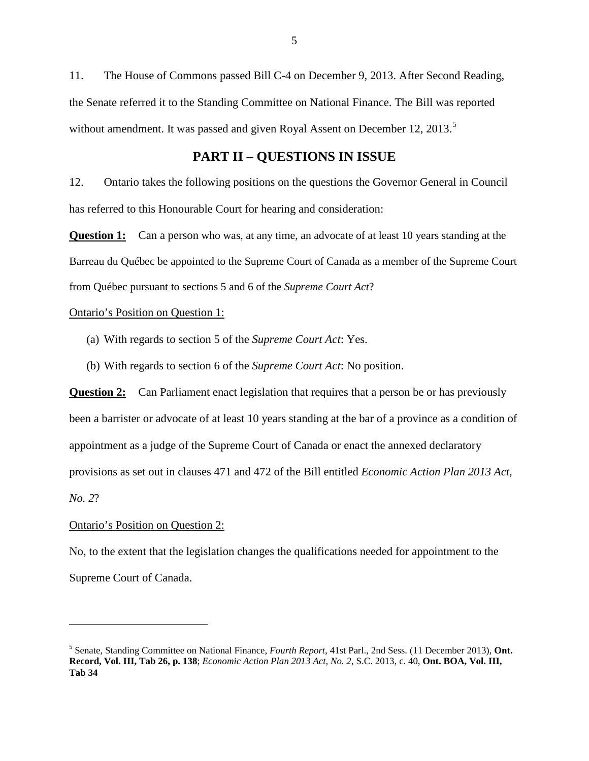11. The House of Commons passed Bill C-4 on December 9, 2013. After Second Reading, the Senate referred it to the Standing Committee on National Finance. The Bill was reported without amendment. It was passed and given Royal Assent on December 12, 2013.<sup>[5](#page-9-1)</sup>

# **PART II – QUESTIONS IN ISSUE**

<span id="page-9-0"></span>12. Ontario takes the following positions on the questions the Governor General in Council has referred to this Honourable Court for hearing and consideration:

**Question 1:** Can a person who was, at any time, an advocate of at least 10 years standing at the Barreau du Québec be appointed to the Supreme Court of Canada as a member of the Supreme Court from Québec pursuant to sections 5 and 6 of the *Supreme Court Act*?

Ontario's Position on Question 1:

- (a) With regards to section 5 of the *Supreme Court Act*: Yes.
- (b) With regards to section 6 of the *Supreme Court Act*: No position.

**Question 2:** Can Parliament enact legislation that requires that a person be or has previously been a barrister or advocate of at least 10 years standing at the bar of a province as a condition of appointment as a judge of the Supreme Court of Canada or enact the annexed declaratory provisions as set out in clauses 471 and 472 of the Bill entitled *Economic Action Plan 2013 Act, No. 2*?

# Ontario's Position on Question 2:

No, to the extent that the legislation changes the qualifications needed for appointment to the

Supreme Court of Canada.

<span id="page-9-1"></span><sup>5</sup> Senate, Standing Committee on National Finance, *Fourth Report*, 41st Parl., 2nd Sess. (11 December 2013), **Ont. Record, Vol. III, Tab 26, p. 138**; *Economic Action Plan 2013 Act, No. 2*, S.C. 2013, c. 40, **Ont. BOA, Vol. III, Tab 34**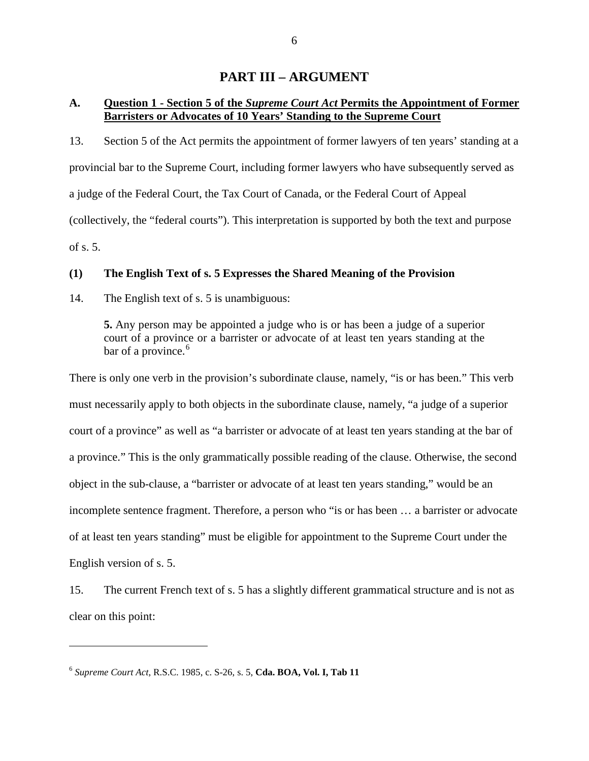# **PART III – ARGUMENT**

# <span id="page-10-1"></span><span id="page-10-0"></span>**A. Question 1 - Section 5 of the** *Supreme Court Act* **Permits the Appointment of Former Barristers or Advocates of 10 Years' Standing to the Supreme Court**

13. Section 5 of the Act permits the appointment of former lawyers of ten years' standing at a provincial bar to the Supreme Court, including former lawyers who have subsequently served as a judge of the Federal Court, the Tax Court of Canada, or the Federal Court of Appeal (collectively, the "federal courts"). This interpretation is supported by both the text and purpose of s. 5.

## <span id="page-10-2"></span>**(1) The English Text of s. 5 Expresses the Shared Meaning of the Provision**

14. The English text of s. 5 is unambiguous:

**5.** Any person may be appointed a judge who is or has been a judge of a superior court of a province or a barrister or advocate of at least ten years standing at the bar of a province.<sup>[6](#page-10-3)</sup>

There is only one verb in the provision's subordinate clause, namely, "is or has been." This verb must necessarily apply to both objects in the subordinate clause, namely, "a judge of a superior court of a province" as well as "a barrister or advocate of at least ten years standing at the bar of a province." This is the only grammatically possible reading of the clause. Otherwise, the second object in the sub-clause, a "barrister or advocate of at least ten years standing," would be an incomplete sentence fragment. Therefore, a person who "is or has been … a barrister or advocate of at least ten years standing" must be eligible for appointment to the Supreme Court under the English version of s. 5.

15. The current French text of s. 5 has a slightly different grammatical structure and is not as clear on this point:

<span id="page-10-3"></span><sup>6</sup> *Supreme Court Act*, R.S.C. 1985, c. S-26, s. 5, **Cda. BOA, Vol. I, Tab 11**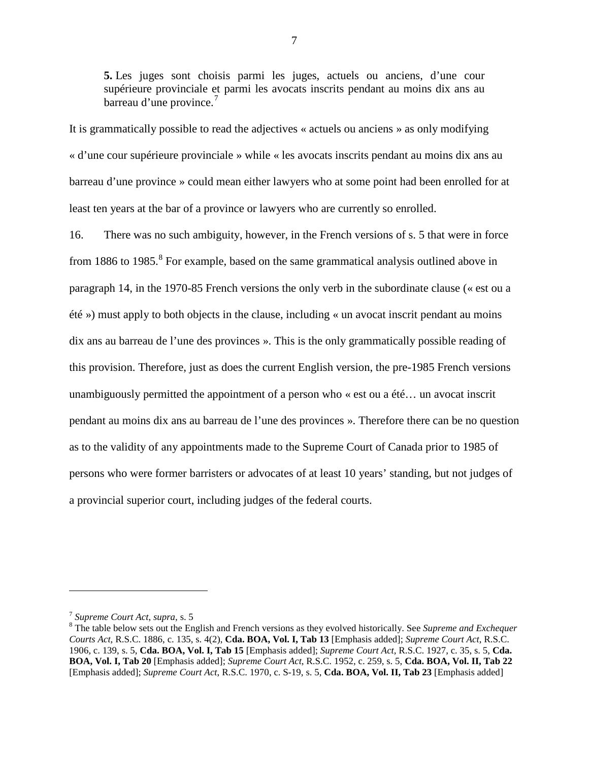**5.** Les juges sont choisis parmi les juges, actuels ou anciens, d'une cour supérieure provinciale et parmi les avocats inscrits pendant au moins dix ans au barreau d'une province.<sup>[7](#page-11-0)</sup>

It is grammatically possible to read the adjectives « actuels ou anciens » as only modifying « d'une cour supérieure provinciale » while « les avocats inscrits pendant au moins dix ans au barreau d'une province » could mean either lawyers who at some point had been enrolled for at least ten years at the bar of a province or lawyers who are currently so enrolled.

16. There was no such ambiguity, however, in the French versions of s. 5 that were in force from 1[8](#page-11-1)86 to 1985. $8$  For example, based on the same grammatical analysis outlined above in paragraph 14, in the 1970-85 French versions the only verb in the subordinate clause (« est ou a été ») must apply to both objects in the clause, including « un avocat inscrit pendant au moins dix ans au barreau de l'une des provinces ». This is the only grammatically possible reading of this provision. Therefore, just as does the current English version, the pre-1985 French versions unambiguously permitted the appointment of a person who « est ou a été… un avocat inscrit pendant au moins dix ans au barreau de l'une des provinces ». Therefore there can be no question as to the validity of any appointments made to the Supreme Court of Canada prior to 1985 of persons who were former barristers or advocates of at least 10 years' standing, but not judges of a provincial superior court, including judges of the federal courts.

<span id="page-11-1"></span><span id="page-11-0"></span><sup>&</sup>lt;sup>7</sup> Supreme Court Act, *supra*, s. 5<br><sup>8</sup> The table below sets out the English and French versions as they evolved historically. See *Supreme and Exchequer Courts Act,* R.S.C. 1886, c. 135, s. 4(2), **Cda. BOA, Vol. I, Tab 13** [Emphasis added]; *Supreme Court Act*, R.S.C. 1906, c. 139, s. 5, **Cda. BOA, Vol. I, Tab 15** [Emphasis added]; *Supreme Court Act*, R.S.C. 1927, c. 35, s. 5, **Cda. BOA, Vol. I, Tab 20** [Emphasis added]; *Supreme Court Act*, R.S.C. 1952, c. 259, s. 5, **Cda. BOA, Vol. II, Tab 22** [Emphasis added]; *Supreme Court Act*, R.S.C. 1970, c. S-19, s. 5, **Cda. BOA, Vol. II, Tab 23** [Emphasis added]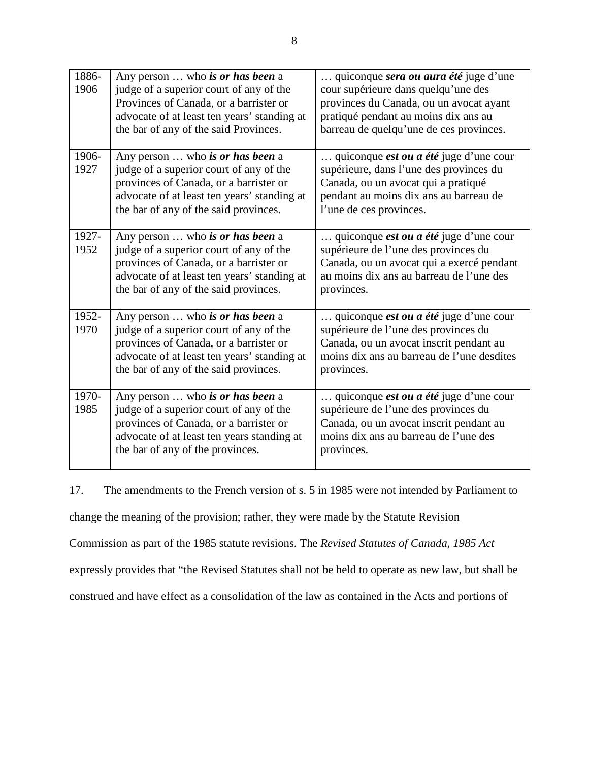| 1886-<br>1906 | Any person  who is or has been a<br>judge of a superior court of any of the<br>Provinces of Canada, or a barrister or<br>advocate of at least ten years' standing at<br>the bar of any of the said Provinces. | quiconque sera ou aura été juge d'une<br>cour supérieure dans quelqu'une des<br>provinces du Canada, ou un avocat ayant<br>pratiqué pendant au moins dix ans au<br>barreau de quelqu'une de ces provinces. |
|---------------|---------------------------------------------------------------------------------------------------------------------------------------------------------------------------------------------------------------|------------------------------------------------------------------------------------------------------------------------------------------------------------------------------------------------------------|
| 1906-<br>1927 | Any person  who is or has been a<br>judge of a superior court of any of the<br>provinces of Canada, or a barrister or<br>advocate of at least ten years' standing at<br>the bar of any of the said provinces. | quiconque <i>est ou a été</i> juge d'une cour<br>supérieure, dans l'une des provinces du<br>Canada, ou un avocat qui a pratiqué<br>pendant au moins dix ans au barreau de<br>l'une de ces provinces.       |
| 1927-<br>1952 | Any person  who is or has been a<br>judge of a superior court of any of the<br>provinces of Canada, or a barrister or<br>advocate of at least ten years' standing at<br>the bar of any of the said provinces. | quiconque <i>est ou a été</i> juge d'une cour<br>supérieure de l'une des provinces du<br>Canada, ou un avocat qui a exercé pendant<br>au moins dix ans au barreau de l'une des<br>provinces.               |
| 1952-<br>1970 | Any person  who is or has been a<br>judge of a superior court of any of the<br>provinces of Canada, or a barrister or<br>advocate of at least ten years' standing at<br>the bar of any of the said provinces. | quiconque <i>est ou a été</i> juge d'une cour<br>supérieure de l'une des provinces du<br>Canada, ou un avocat inscrit pendant au<br>moins dix ans au barreau de l'une desdites<br>provinces.               |
| 1970-<br>1985 | Any person  who is or has been a<br>judge of a superior court of any of the<br>provinces of Canada, or a barrister or<br>advocate of at least ten years standing at<br>the bar of any of the provinces.       | quiconque <i>est ou a été</i> juge d'une cour<br>supérieure de l'une des provinces du<br>Canada, ou un avocat inscrit pendant au<br>moins dix ans au barreau de l'une des<br>provinces.                    |

17. The amendments to the French version of s. 5 in 1985 were not intended by Parliament to change the meaning of the provision; rather, they were made by the Statute Revision Commission as part of the 1985 statute revisions. The *Revised Statutes of Canada, 1985 Act* expressly provides that "the Revised Statutes shall not be held to operate as new law, but shall be construed and have effect as a consolidation of the law as contained in the Acts and portions of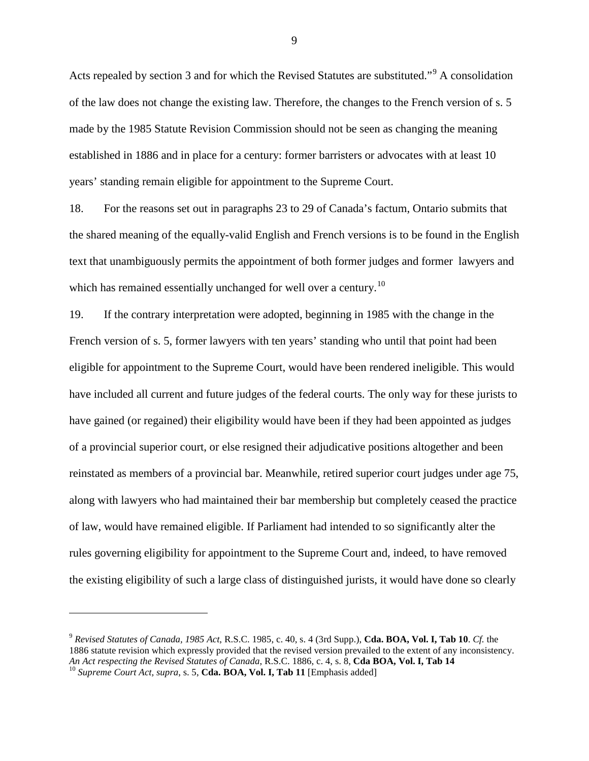Acts repealed by section 3 and for which the Revised Statutes are substituted."<sup>[9](#page-13-0)</sup> A consolidation of the law does not change the existing law. Therefore, the changes to the French version of s. 5 made by the 1985 Statute Revision Commission should not be seen as changing the meaning established in 1886 and in place for a century: former barristers or advocates with at least 10 years' standing remain eligible for appointment to the Supreme Court.

18. For the reasons set out in paragraphs 23 to 29 of Canada's factum, Ontario submits that the shared meaning of the equally-valid English and French versions is to be found in the English text that unambiguously permits the appointment of both former judges and former lawyers and which has remained essentially unchanged for well over a century.<sup>[10](#page-13-1)</sup>

19. If the contrary interpretation were adopted, beginning in 1985 with the change in the French version of s. 5, former lawyers with ten years' standing who until that point had been eligible for appointment to the Supreme Court, would have been rendered ineligible. This would have included all current and future judges of the federal courts. The only way for these jurists to have gained (or regained) their eligibility would have been if they had been appointed as judges of a provincial superior court, or else resigned their adjudicative positions altogether and been reinstated as members of a provincial bar. Meanwhile, retired superior court judges under age 75, along with lawyers who had maintained their bar membership but completely ceased the practice of law, would have remained eligible. If Parliament had intended to so significantly alter the rules governing eligibility for appointment to the Supreme Court and, indeed, to have removed the existing eligibility of such a large class of distinguished jurists, it would have done so clearly

<span id="page-13-0"></span><sup>9</sup> *Revised Statutes of Canada, 1985 Act*, R.S.C. 1985, c. 40, s. 4 (3rd Supp.), **Cda. BOA, Vol. I, Tab 10**. *Cf.* the 1886 statute revision which expressly provided that the revised version prevailed to the extent of any inconsistency.<br>An Act respecting the Revised Statutes of Canada, R.S.C. 1886, c. 4, s. 8, Cda BOA, Vol. I, Tab 14

<span id="page-13-1"></span><sup>&</sup>lt;sup>10</sup> Supreme Court Act, supra, s. 5, Cda. BOA, Vol. I, Tab 11 *[Emphasis added]*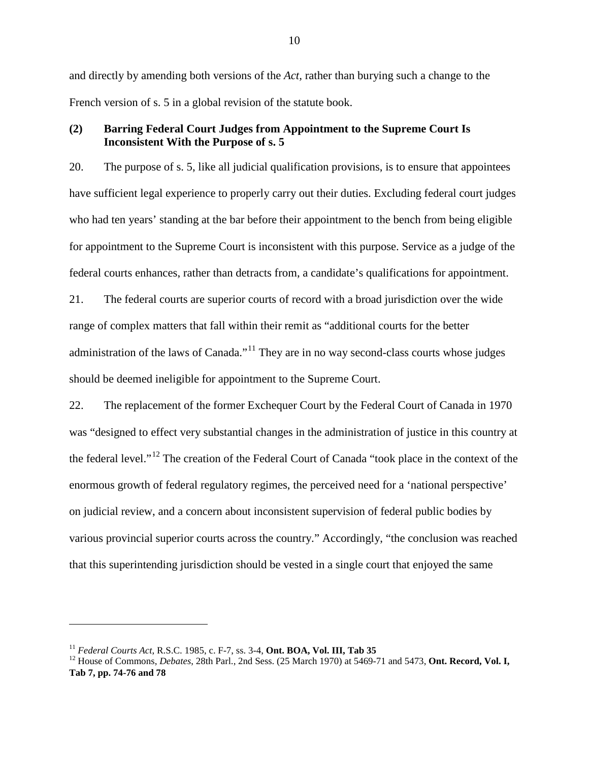and directly by amending both versions of the *Act,* rather than burying such a change to the French version of s. 5 in a global revision of the statute book.

## <span id="page-14-0"></span>**(2) Barring Federal Court Judges from Appointment to the Supreme Court Is Inconsistent With the Purpose of s. 5**

20. The purpose of s. 5, like all judicial qualification provisions, is to ensure that appointees have sufficient legal experience to properly carry out their duties. Excluding federal court judges who had ten years' standing at the bar before their appointment to the bench from being eligible for appointment to the Supreme Court is inconsistent with this purpose. Service as a judge of the federal courts enhances, rather than detracts from, a candidate's qualifications for appointment.

21. The federal courts are superior courts of record with a broad jurisdiction over the wide range of complex matters that fall within their remit as "additional courts for the better administration of the laws of Canada."<sup>[11](#page-14-1)</sup> They are in no way second-class courts whose judges should be deemed ineligible for appointment to the Supreme Court.

22. The replacement of the former Exchequer Court by the Federal Court of Canada in 1970 was "designed to effect very substantial changes in the administration of justice in this country at the federal level."[12](#page-14-2) The creation of the Federal Court of Canada "took place in the context of the enormous growth of federal regulatory regimes, the perceived need for a 'national perspective' on judicial review, and a concern about inconsistent supervision of federal public bodies by various provincial superior courts across the country." Accordingly, "the conclusion was reached that this superintending jurisdiction should be vested in a single court that enjoyed the same

<span id="page-14-2"></span>

<span id="page-14-1"></span><sup>&</sup>lt;sup>11</sup> *Federal Courts Act*, R.S.C. 1985, c. F-7, ss. 3-4, **Ont. BOA, Vol. III, Tab 35**<br><sup>12</sup> House of Commons, *Debates*, 28th Parl., 2nd Sess. (25 March 1970) at 5469-71 and 5473, **Ont. Record, Vol. I, Tab 7, pp. 74-76 and 78**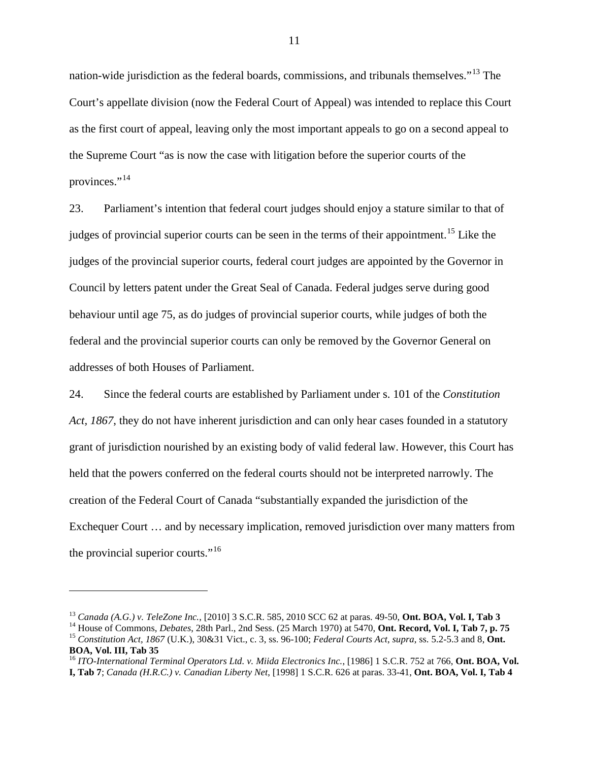nation-wide jurisdiction as the federal boards, commissions, and tribunals themselves."[13](#page-15-0) The Court's appellate division (now the Federal Court of Appeal) was intended to replace this Court as the first court of appeal, leaving only the most important appeals to go on a second appeal to the Supreme Court "as is now the case with litigation before the superior courts of the provinces."<sup>[14](#page-15-1)</sup>

23. Parliament's intention that federal court judges should enjoy a stature similar to that of judges of provincial superior courts can be seen in the terms of their appointment.<sup>[15](#page-15-2)</sup> Like the judges of the provincial superior courts, federal court judges are appointed by the Governor in Council by letters patent under the Great Seal of Canada. Federal judges serve during good behaviour until age 75, as do judges of provincial superior courts, while judges of both the federal and the provincial superior courts can only be removed by the Governor General on addresses of both Houses of Parliament.

24. Since the federal courts are established by Parliament under s. 101 of the *Constitution Act, 1867*, they do not have inherent jurisdiction and can only hear cases founded in a statutory grant of jurisdiction nourished by an existing body of valid federal law. However, this Court has held that the powers conferred on the federal courts should not be interpreted narrowly. The creation of the Federal Court of Canada "substantially expanded the jurisdiction of the Exchequer Court … and by necessary implication, removed jurisdiction over many matters from the provincial superior courts."[16](#page-15-3)

<span id="page-15-2"></span><span id="page-15-1"></span>

<span id="page-15-0"></span><sup>&</sup>lt;sup>13</sup> Canada (A.G.) v. TeleZone Inc., [2010] 3 S.C.R. 585, 2010 SCC 62 at paras. 49-50, **Ont. BOA, Vol. I, Tab 3**<br><sup>14</sup> House of Commons, *Debates*, 28th Parl., 2nd Sess. (25 March 1970) at 5470, **Ont. Record, Vol. I, Tab 7** 

<span id="page-15-3"></span><sup>&</sup>lt;sup>16</sup> ITO-International Terminal Operators Ltd. v. Miida Electronics Inc., [1986] 1 S.C.R. 752 at 766, **Ont. BOA, Vol. I, Tab 7**; *Canada (H.R.C.) v. Canadian Liberty Net*, [1998] 1 S.C.R. 626 at paras. 33-41, **Ont. BOA, Vol. I, Tab 4**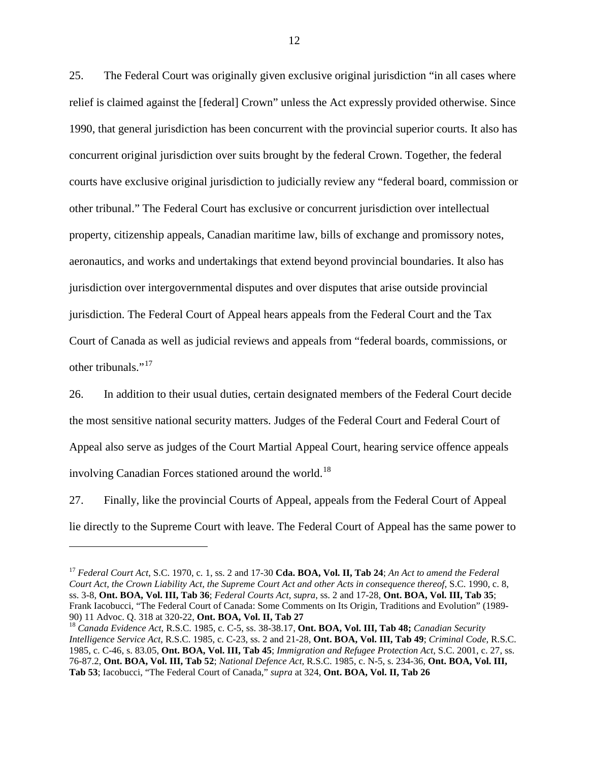25. The Federal Court was originally given exclusive original jurisdiction "in all cases where relief is claimed against the [federal] Crown" unless the Act expressly provided otherwise. Since 1990, that general jurisdiction has been concurrent with the provincial superior courts. It also has concurrent original jurisdiction over suits brought by the federal Crown. Together, the federal courts have exclusive original jurisdiction to judicially review any "federal board, commission or other tribunal." The Federal Court has exclusive or concurrent jurisdiction over intellectual property, citizenship appeals, Canadian maritime law, bills of exchange and promissory notes, aeronautics, and works and undertakings that extend beyond provincial boundaries. It also has jurisdiction over intergovernmental disputes and over disputes that arise outside provincial jurisdiction. The Federal Court of Appeal hears appeals from the Federal Court and the Tax Court of Canada as well as judicial reviews and appeals from "federal boards, commissions, or other tribunals."<sup>[17](#page-16-0)</sup>

26. In addition to their usual duties, certain designated members of the Federal Court decide the most sensitive national security matters. Judges of the Federal Court and Federal Court of Appeal also serve as judges of the Court Martial Appeal Court, hearing service offence appeals involving Canadian Forces stationed around the world.<sup>[18](#page-16-1)</sup>

27. Finally, like the provincial Courts of Appeal, appeals from the Federal Court of Appeal lie directly to the Supreme Court with leave. The Federal Court of Appeal has the same power to

i<br>I

<span id="page-16-0"></span><sup>17</sup> *Federal Court Act*, S.C. 1970, c. 1, ss. 2 and 17-30 **Cda. BOA, Vol. II, Tab 24**; *An Act to amend the Federal Court Act, the Crown Liability Act, the Supreme Court Act and other Acts in consequence thereof*, S.C. 1990, c. 8, ss. 3-8, **Ont. BOA, Vol. III, Tab 36**; *Federal Courts Act*, *supra*, ss. 2 and 17-28, **Ont. BOA, Vol. III, Tab 35**; Frank Iacobucci, "The Federal Court of Canada: Some Comments on Its Origin, Traditions and Evolution" (1989-90) 11 Advoc. Q. 318 at 320-22, Ont. BOA, Vol. II, Tab 27

<span id="page-16-1"></span><sup>&</sup>lt;sup>18</sup> Canada Evidence Act, R.S.C. 1985, c. C-5, ss. 38-38.17, **Ont. BOA, Vol. III, Tab 48;** *Canadian Security Intelligence Service Act*, R.S.C. 1985, c. C-23, ss. 2 and 21-28, **Ont. BOA, Vol. III, Tab 49**; *Criminal Code*, R.S.C. 1985, c. C-46, s. 83.05, **Ont. BOA, Vol. III, Tab 45**; *Immigration and Refugee Protection Act*, S.C. 2001, c. 27, ss. 76-87.2, **Ont. BOA, Vol. III, Tab 52**; *National Defence Act*, R.S.C. 1985, c. N-5, s. 234-36, **Ont. BOA, Vol. III, Tab 53**; Iacobucci, "The Federal Court of Canada," *supra* at 324, **Ont. BOA, Vol. II, Tab 26**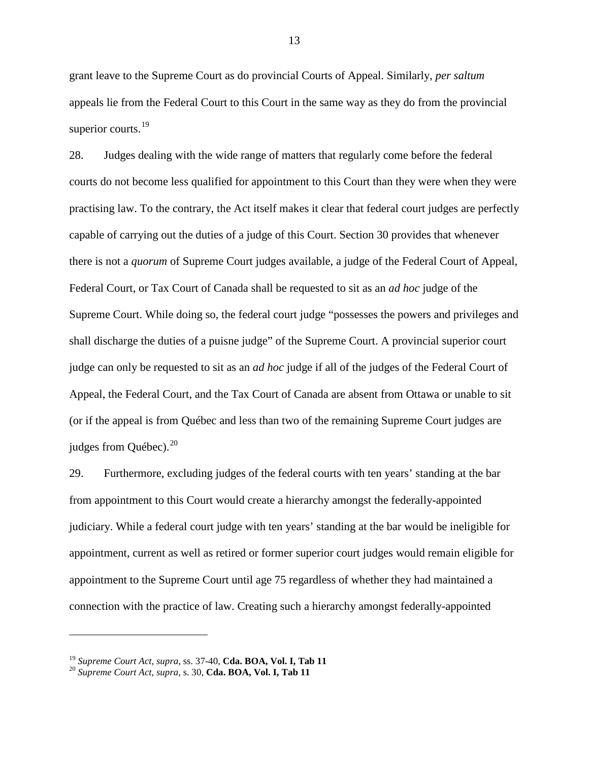grant leave to the Supreme Court as do provincial Courts of Appeal. Similarly, *per saltum*  appeals lie from the Federal Court to this Court in the same way as they do from the provincial superior courts.<sup>[19](#page-17-0)</sup>

28. Judges dealing with the wide range of matters that regularly come before the federal courts do not become less qualified for appointment to this Court than they were when they were practising law. To the contrary, the Act itself makes it clear that federal court judges are perfectly capable of carrying out the duties of a judge of this Court. Section 30 provides that whenever there is not a *quorum* of Supreme Court judges available, a judge of the Federal Court of Appeal, Federal Court, or Tax Court of Canada shall be requested to sit as an *ad hoc* judge of the Supreme Court. While doing so, the federal court judge "possesses the powers and privileges and shall discharge the duties of a puisne judge" of the Supreme Court. A provincial superior court judge can only be requested to sit as an *ad hoc* judge if all of the judges of the Federal Court of Appeal, the Federal Court, and the Tax Court of Canada are absent from Ottawa or unable to sit (or if the appeal is from Québec and less than two of the remaining Supreme Court judges are judges from Québec).<sup>[20](#page-17-1)</sup>

29. Furthermore, excluding judges of the federal courts with ten years' standing at the bar from appointment to this Court would create a hierarchy amongst the federally-appointed judiciary. While a federal court judge with ten years' standing at the bar would be ineligible for appointment, current as well as retired or former superior court judges would remain eligible for appointment to the Supreme Court until age 75 regardless of whether they had maintained a connection with the practice of law. Creating such a hierarchy amongst federally-appointed

<span id="page-17-0"></span><sup>19</sup> *Supreme Court Act*, *supra*, ss. 37-40, **Cda. BOA, Vol. I, Tab 11** <sup>20</sup> *Supreme Court Act*, *supra*, s. 30, **Cda. BOA, Vol. I, Tab 11**

<span id="page-17-1"></span>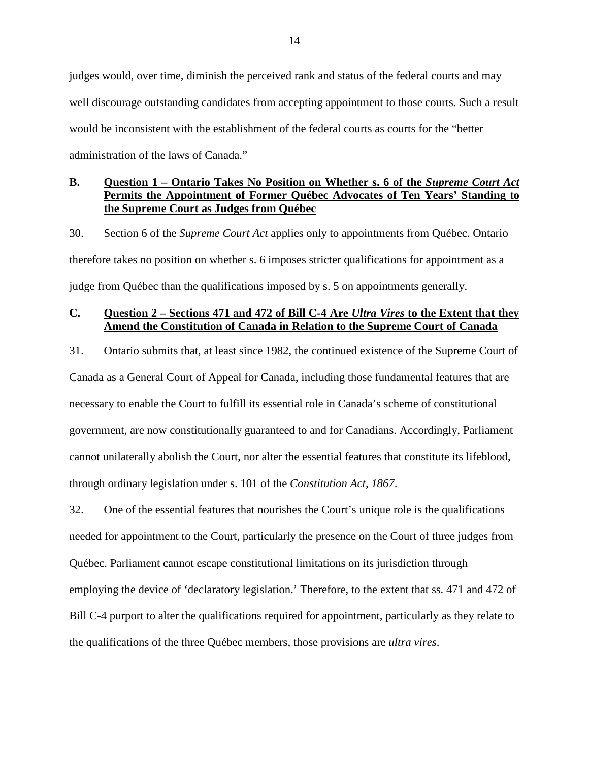judges would, over time, diminish the perceived rank and status of the federal courts and may well discourage outstanding candidates from accepting appointment to those courts. Such a result would be inconsistent with the establishment of the federal courts as courts for the "better administration of the laws of Canada."

# <span id="page-18-0"></span>**B. Question 1 – Ontario Takes No Position on Whether s. 6 of the** *Supreme Court Act*  **Permits the Appointment of Former Québec Advocates of Ten Years' Standing to the Supreme Court as Judges from Québec**

30. Section 6 of the *Supreme Court Act* applies only to appointments from Québec. Ontario therefore takes no position on whether s. 6 imposes stricter qualifications for appointment as a judge from Québec than the qualifications imposed by s. 5 on appointments generally.

# <span id="page-18-1"></span>**C. Question 2 – Sections 471 and 472 of Bill C-4 Are** *Ultra Vires* **to the Extent that they Amend the Constitution of Canada in Relation to the Supreme Court of Canada**

31. Ontario submits that, at least since 1982, the continued existence of the Supreme Court of Canada as a General Court of Appeal for Canada, including those fundamental features that are necessary to enable the Court to fulfill its essential role in Canada's scheme of constitutional government, are now constitutionally guaranteed to and for Canadians. Accordingly, Parliament cannot unilaterally abolish the Court, nor alter the essential features that constitute its lifeblood, through ordinary legislation under s. 101 of the *Constitution Act, 1867*.

32. One of the essential features that nourishes the Court's unique role is the qualifications needed for appointment to the Court, particularly the presence on the Court of three judges from Québec. Parliament cannot escape constitutional limitations on its jurisdiction through employing the device of 'declaratory legislation.' Therefore, to the extent that ss. 471 and 472 of Bill C-4 purport to alter the qualifications required for appointment, particularly as they relate to the qualifications of the three Québec members, those provisions are *ultra vires*.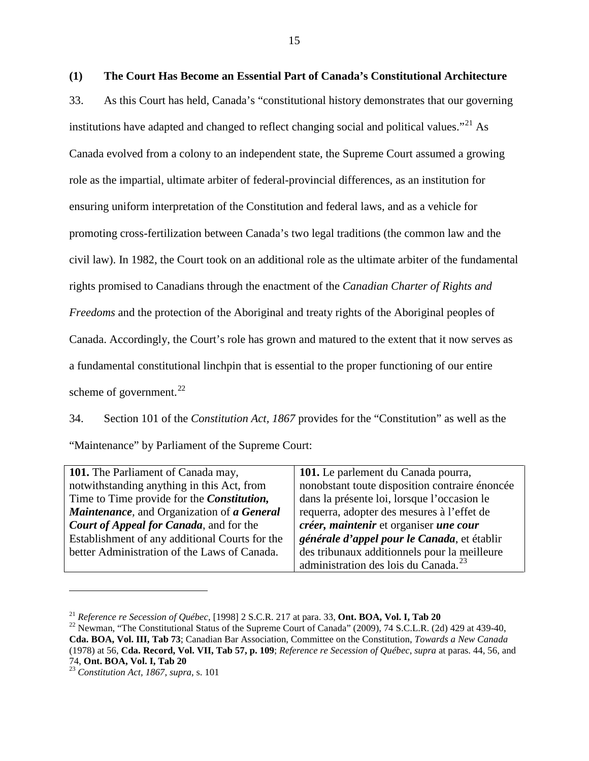<span id="page-19-0"></span>33. As this Court has held, Canada's "constitutional history demonstrates that our governing institutions have adapted and changed to reflect changing social and political values."<sup>[21](#page-19-1)</sup> As Canada evolved from a colony to an independent state, the Supreme Court assumed a growing role as the impartial, ultimate arbiter of federal-provincial differences, as an institution for ensuring uniform interpretation of the Constitution and federal laws, and as a vehicle for promoting cross-fertilization between Canada's two legal traditions (the common law and the civil law). In 1982, the Court took on an additional role as the ultimate arbiter of the fundamental rights promised to Canadians through the enactment of the *Canadian Charter of Rights and Freedoms* and the protection of the Aboriginal and treaty rights of the Aboriginal peoples of Canada. Accordingly, the Court's role has grown and matured to the extent that it now serves as a fundamental constitutional linchpin that is essential to the proper functioning of our entire scheme of government. $^{22}$  $^{22}$  $^{22}$ 

34. Section 101 of the *Constitution Act, 1867* provides for the "Constitution" as well as the "Maintenance" by Parliament of the Supreme Court:

| 101. The Parliament of Canada may,                 | 101. Le parlement du Canada pourra,              |
|----------------------------------------------------|--------------------------------------------------|
| notwithstanding anything in this Act, from         | nonobstant toute disposition contraire énoncée   |
| Time to Time provide for the <i>Constitution</i> , | dans la présente loi, lorsque l'occasion le      |
| Maintenance, and Organization of a General         | requerra, adopter des mesures à l'effet de       |
| <b>Court of Appeal for Canada</b> , and for the    | créer, maintenir et organiser une cour           |
| Establishment of any additional Courts for the     | générale d'appel pour le Canada, et établir      |
| better Administration of the Laws of Canada.       | des tribunaux additionnels pour la meilleure     |
|                                                    | administration des lois du Canada. <sup>23</sup> |

<span id="page-19-2"></span><span id="page-19-1"></span><sup>&</sup>lt;sup>21</sup> *Reference re Secession of Québec*, [1998] 2 S.C.R. 217 at para. 33, **Ont. BOA, Vol. I, Tab 20**<br><sup>22</sup> Newman, "The Constitutional Status of the Supreme Court of Canada" (2009), 74 S.C.L.R. (2d) 429 at 439-40, **Cda. BOA, Vol. III, Tab 73**; Canadian Bar Association, Committee on the Constitution, *Towards a New Canada* (1978) at 56, **Cda. Record, Vol. VII, Tab 57, p. 109**; *Reference re Secession of Québec*, *supra* at paras. 44, 56, and

<span id="page-19-3"></span><sup>74,</sup> **Ont. BOA, Vol. I, Tab 20** <sup>23</sup> *Constitution Act, 1867*, *supra*, s. 101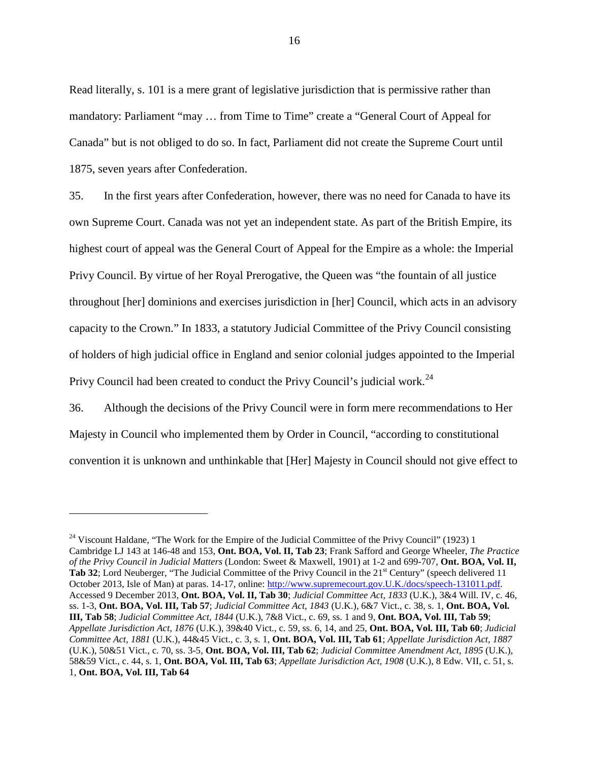Read literally, s. 101 is a mere grant of legislative jurisdiction that is permissive rather than mandatory: Parliament "may … from Time to Time" create a "General Court of Appeal for Canada" but is not obliged to do so. In fact, Parliament did not create the Supreme Court until 1875, seven years after Confederation.

35. In the first years after Confederation, however, there was no need for Canada to have its own Supreme Court. Canada was not yet an independent state. As part of the British Empire, its highest court of appeal was the General Court of Appeal for the Empire as a whole: the Imperial Privy Council. By virtue of her Royal Prerogative, the Queen was "the fountain of all justice throughout [her] dominions and exercises jurisdiction in [her] Council, which acts in an advisory capacity to the Crown." In 1833, a statutory Judicial Committee of the Privy Council consisting of holders of high judicial office in England and senior colonial judges appointed to the Imperial Privy Council had been created to conduct the Privy Council's judicial work.<sup>[24](#page-20-0)</sup>

36. Although the decisions of the Privy Council were in form mere recommendations to Her Majesty in Council who implemented them by Order in Council, "according to constitutional convention it is unknown and unthinkable that [Her] Majesty in Council should not give effect to

<span id="page-20-0"></span> $^{24}$  Viscount Haldane, "The Work for the Empire of the Judicial Committee of the Privy Council" (1923) 1 Cambridge LJ 143 at 146-48 and 153, **Ont. BOA, Vol. II, Tab 23**; Frank Safford and George Wheeler, *The Practice of the Privy Council in Judicial Matters* (London: Sweet & Maxwell, 1901) at 1-2 and 699-707, **Ont. BOA, Vol. II,**  Tab 32; Lord Neuberger, "The Judicial Committee of the Privy Council in the 21<sup>st</sup> Century" (speech delivered 11 October 2013, Isle of Man) at paras. 14-17, online: [http://www.supremecourt.gov.U.K./docs/speech-131011.pdf.](http://www.supremecourt.gov.uk/docs/speech-131011.pdf) Accessed 9 December 2013, **Ont. BOA, Vol. II, Tab 30**; *Judicial Committee Act, 1833* (U.K.), 3&4 Will. IV, c. 46, ss. 1-3, **Ont. BOA, Vol. III, Tab 57**; *Judicial Committee Act, 1843* (U.K.), 6&7 Vict., c. 38, s. 1, **Ont. BOA, Vol. III, Tab 58**; *Judicial Committee Act, 1844* (U.K.), 7&8 Vict., c. 69, ss. 1 and 9, **Ont. BOA, Vol. III, Tab 59**; *Appellate Jurisdiction Act, 1876* (U.K.), 39&40 Vict., c. 59, ss. 6, 14, and 25, **Ont. BOA, Vol. III, Tab 60**; *Judicial Committee Act, 1881* (U.K.), 44&45 Vict., c. 3, s. 1, **Ont. BOA, Vol. III, Tab 61**; *Appellate Jurisdiction Act, 1887*  (U.K.), 50&51 Vict., c. 70, ss. 3-5, **Ont. BOA, Vol. III, Tab 62**; *Judicial Committee Amendment Act, 1895* (U.K.), 58&59 Vict., c. 44, s. 1, **Ont. BOA, Vol. III, Tab 63**; *Appellate Jurisdiction Act, 1908* (U.K.), 8 Edw. VII, c. 51, s. 1, **Ont. BOA, Vol. III, Tab 64**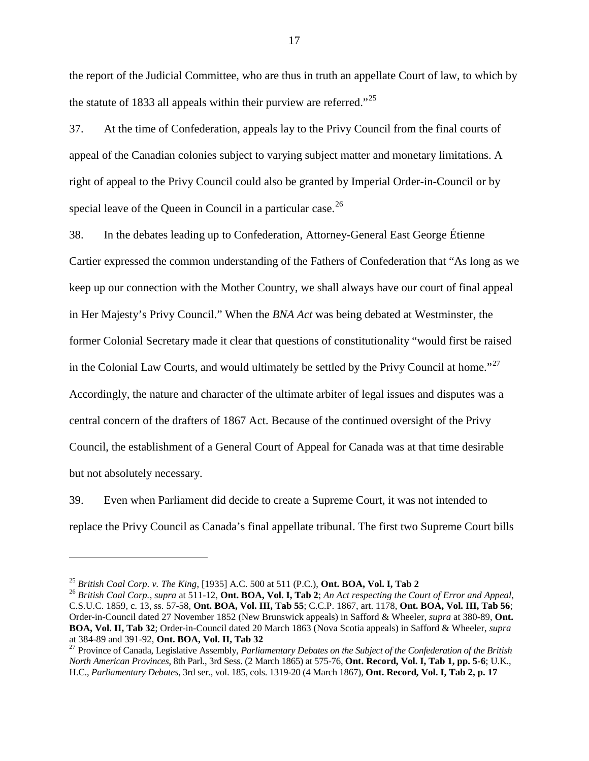the report of the Judicial Committee, who are thus in truth an appellate Court of law, to which by the statute of 1833 all appeals within their purview are referred."<sup>[25](#page-21-0)</sup>

37. At the time of Confederation, appeals lay to the Privy Council from the final courts of appeal of the Canadian colonies subject to varying subject matter and monetary limitations. A right of appeal to the Privy Council could also be granted by Imperial Order-in-Council or by special leave of the Queen in Council in a particular case.  $^{26}$  $^{26}$  $^{26}$ 

38. In the debates leading up to Confederation, Attorney-General East George Étienne Cartier expressed the common understanding of the Fathers of Confederation that "As long as we keep up our connection with the Mother Country, we shall always have our court of final appeal in Her Majesty's Privy Council." When the *BNA Act* was being debated at Westminster, the former Colonial Secretary made it clear that questions of constitutionality "would first be raised in the Colonial Law Courts, and would ultimately be settled by the Privy Council at home."<sup>[27](#page-21-2)</sup> Accordingly, the nature and character of the ultimate arbiter of legal issues and disputes was a central concern of the drafters of 1867 Act. Because of the continued oversight of the Privy Council, the establishment of a General Court of Appeal for Canada was at that time desirable but not absolutely necessary.

39. Even when Parliament did decide to create a Supreme Court, it was not intended to replace the Privy Council as Canada's final appellate tribunal. The first two Supreme Court bills

<span id="page-21-1"></span><span id="page-21-0"></span>

<sup>&</sup>lt;sup>25</sup> British Coal Corp. v. The King, [1935] A.C. 500 at 511 (P.C.), **Ont. BOA, Vol. I, Tab 2**<br><sup>26</sup> British Coal Corp., supra at 511-12, **Ont. BOA, Vol. I, Tab 2**; An Act respecting the Court of Error and Appeal, C.S.U.C. 1859, c. 13, ss. 57-58, **Ont. BOA, Vol. III, Tab 55**; C.C.P. 1867, art. 1178, **Ont. BOA, Vol. III, Tab 56**; Order-in-Council dated 27 November 1852 (New Brunswick appeals) in Safford & Wheeler, *supra* at 380-89, **Ont. BOA, Vol. II, Tab 32**; Order-in-Council dated 20 March 1863 (Nova Scotia appeals) in Safford & Wheeler, *supra*

<span id="page-21-2"></span><sup>&</sup>lt;sup>27</sup> Province of Canada, Legislative Assembly, *Parliamentary Debates on the Subject of the Confederation of the British North American Provinces*, 8th Parl., 3rd Sess. (2 March 1865) at 575-76, **Ont. Record, Vol. I, Tab 1, pp. 5-6**; U.K., H.C., *Parliamentary Debates*, 3rd ser., vol. 185, cols. 1319-20 (4 March 1867), **Ont. Record, Vol. I, Tab 2, p. 17**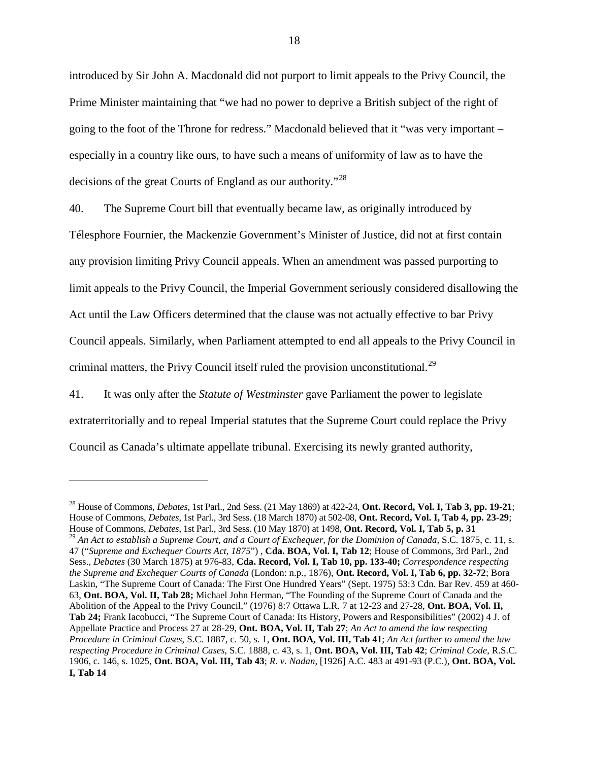introduced by Sir John A. Macdonald did not purport to limit appeals to the Privy Council, the Prime Minister maintaining that "we had no power to deprive a British subject of the right of going to the foot of the Throne for redress." Macdonald believed that it "was very important – especially in a country like ours, to have such a means of uniformity of law as to have the decisions of the great Courts of England as our authority."<sup>[28](#page-22-0)</sup>

40. The Supreme Court bill that eventually became law, as originally introduced by Télesphore Fournier, the Mackenzie Government's Minister of Justice, did not at first contain any provision limiting Privy Council appeals. When an amendment was passed purporting to limit appeals to the Privy Council, the Imperial Government seriously considered disallowing the Act until the Law Officers determined that the clause was not actually effective to bar Privy Council appeals. Similarly, when Parliament attempted to end all appeals to the Privy Council in criminal matters, the Privy Council itself ruled the provision unconstitutional.<sup>[29](#page-22-1)</sup>

41. It was only after the *Statute of Westminster* gave Parliament the power to legislate extraterritorially and to repeal Imperial statutes that the Supreme Court could replace the Privy Council as Canada's ultimate appellate tribunal. Exercising its newly granted authority,

<span id="page-22-1"></span><span id="page-22-0"></span><sup>28</sup> House of Commons, *Debates*, 1st Parl., 2nd Sess. (21 May 1869) at 422-24, **Ont. Record, Vol. I, Tab 3, pp. 19-21**; House of Commons, *Debates*, 1st Parl., 3rd Sess. (18 March 1870) at 502-08, **Ont. Record, Vol. I, Tab 4, pp. 23-29**; House of Commons, *Debates*, 1st Parl., 3rd Sess. (10 May 1870) at 1498, **Ont. Record, Vol. I, Tab 5, p. 31** <sup>29</sup> An Act to establish a Supreme Court, and a Court of Exchequer, for the Dominion of Canada, S.C. 1875, c. 11, s. 47 ("*Supreme and Exchequer Courts Act, 1875*") , **Cda. BOA, Vol. I, Tab 12**; House of Commons, 3rd Parl., 2nd Sess., *Debates* (30 March 1875) at 976-83, **Cda. Record, Vol. I, Tab 10, pp. 133-40;** *Correspondence respecting the Supreme and Exchequer Courts of Canada* (London: n.p., 1876), **Ont. Record, Vol. I, Tab 6, pp. 32-72**; Bora Laskin, "The Supreme Court of Canada: The First One Hundred Years" (Sept. 1975) 53:3 Cdn. Bar Rev. 459 at 460- 63, **Ont. BOA, Vol. II, Tab 28;** Michael John Herman, "The Founding of the Supreme Court of Canada and the Abolition of the Appeal to the Privy Council," (1976) 8:7 Ottawa L.R. 7 at 12-23 and 27-28, **Ont. BOA, Vol. II, Tab 24;** Frank Iacobucci, "The Supreme Court of Canada: Its History, Powers and Responsibilities" (2002) 4 J. of Appellate Practice and Process 27 at 28-29, **Ont. BOA, Vol. II, Tab 27**; *An Act to amend the law respecting Procedure in Criminal Cases*, S.C. 1887, c. 50, s. 1, **Ont. BOA, Vol. III, Tab 41**; *An Act further to amend the law respecting Procedure in Criminal Cases*, S.C. 1888, c. 43, s. 1, **Ont. BOA, Vol. III, Tab 42**; *Criminal Code*, R.S.C. 1906, c. 146, s. 1025, **Ont. BOA, Vol. III, Tab 43**; *R. v. Nadan*, [1926] A.C. 483 at 491-93 (P.C.), **Ont. BOA, Vol. I, Tab 14**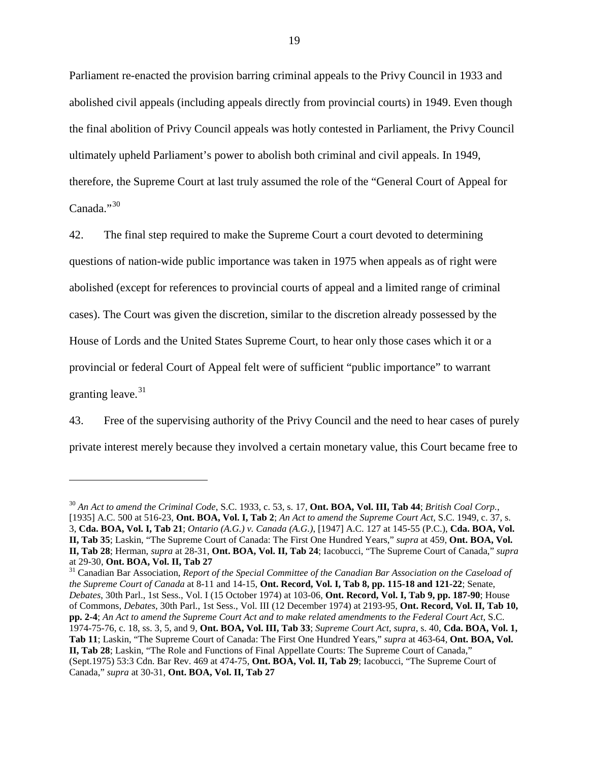Parliament re-enacted the provision barring criminal appeals to the Privy Council in 1933 and abolished civil appeals (including appeals directly from provincial courts) in 1949. Even though the final abolition of Privy Council appeals was hotly contested in Parliament, the Privy Council ultimately upheld Parliament's power to abolish both criminal and civil appeals. In 1949, therefore, the Supreme Court at last truly assumed the role of the "General Court of Appeal for Canada<sup>"[30](#page-23-0)</sup>

42. The final step required to make the Supreme Court a court devoted to determining questions of nation-wide public importance was taken in 1975 when appeals as of right were abolished (except for references to provincial courts of appeal and a limited range of criminal cases). The Court was given the discretion, similar to the discretion already possessed by the House of Lords and the United States Supreme Court, to hear only those cases which it or a provincial or federal Court of Appeal felt were of sufficient "public importance" to warrant granting leave.  $31$ 

43. Free of the supervising authority of the Privy Council and the need to hear cases of purely private interest merely because they involved a certain monetary value, this Court became free to

<span id="page-23-0"></span><sup>30</sup> *An Act to amend the Criminal Code*, S.C. 1933, c. 53, s. 17, **Ont. BOA, Vol. III, Tab 44**; *British Coal Corp.*, [1935] A.C. 500 at 516-23, **Ont. BOA, Vol. I, Tab 2**; *An Act to amend the Supreme Court Act*, S.C. 1949, c. 37, s. 3, **Cda. BOA, Vol. I, Tab 21**; *Ontario (A.G.) v. Canada (A.G.)*, [1947] A.C. 127 at 145-55 (P.C.), **Cda. BOA, Vol. II, Tab 35**; Laskin, "The Supreme Court of Canada: The First One Hundred Years," *supra* at 459, **Ont. BOA, Vol. II, Tab 28**; Herman, *supra* at 28-31, **Ont. BOA, Vol. II, Tab 24**; Iacobucci, "The Supreme Court of Canada," *supra*

<span id="page-23-1"></span>at 29-30, **Ont. BOA, Vol. II, Tab 27** <sup>31</sup> Canadian Bar Association, *Report of the Special Committee of the Canadian Bar Association on the Caseload of the Supreme Court of Canada* at 8-11 and 14-15, **Ont. Record, Vol. I, Tab 8, pp. 115-18 and 121-22**; Senate, *Debates*, 30th Parl., 1st Sess., Vol. I (15 October 1974) at 103-06, **Ont. Record, Vol. I, Tab 9, pp. 187-90**; House of Commons, *Debates*, 30th Parl., 1st Sess., Vol. III (12 December 1974) at 2193-95, **Ont. Record, Vol. II, Tab 10, pp. 2-4**; *An Act to amend the Supreme Court Act and to make related amendments to the Federal Court Act*, S.C. 1974-75-76, c. 18, ss. 3, 5, and 9, **Ont. BOA, Vol. III, Tab 33**; *Supreme Court Act*, *supra*, s. 40, **Cda. BOA, Vol. 1, Tab 11**; Laskin, "The Supreme Court of Canada: The First One Hundred Years," *supra* at 463-64, **Ont. BOA, Vol. II, Tab 28**; Laskin, "The Role and Functions of Final Appellate Courts: The Supreme Court of Canada," (Sept.1975) 53:3 Cdn. Bar Rev. 469 at 474-75, **Ont. BOA, Vol. II, Tab 29**; Iacobucci, "The Supreme Court of Canada," *supra* at 30-31, **Ont. BOA, Vol. II, Tab 27**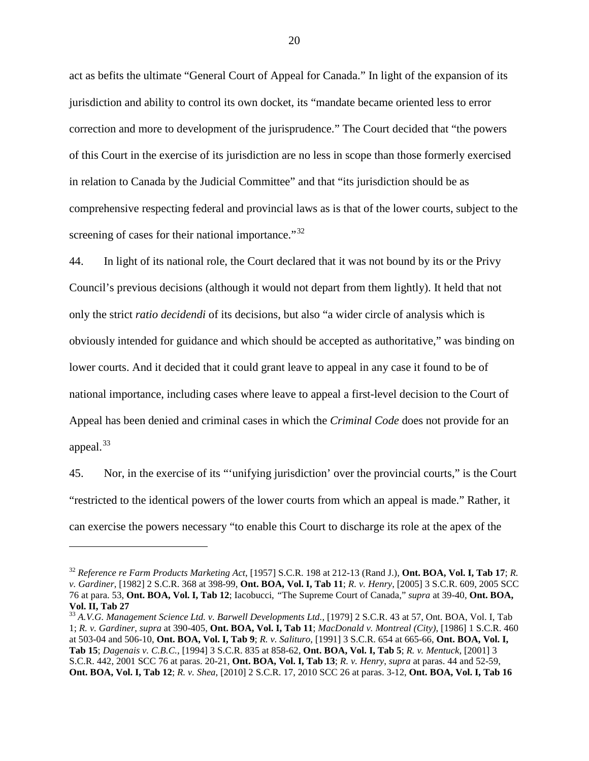act as befits the ultimate "General Court of Appeal for Canada." In light of the expansion of its jurisdiction and ability to control its own docket, its "mandate became oriented less to error correction and more to development of the jurisprudence." The Court decided that "the powers of this Court in the exercise of its jurisdiction are no less in scope than those formerly exercised in relation to Canada by the Judicial Committee" and that "its jurisdiction should be as comprehensive respecting federal and provincial laws as is that of the lower courts, subject to the screening of cases for their national importance."<sup>[32](#page-24-0)</sup>

44. In light of its national role, the Court declared that it was not bound by its or the Privy Council's previous decisions (although it would not depart from them lightly). It held that not only the strict *ratio decidendi* of its decisions, but also "a wider circle of analysis which is obviously intended for guidance and which should be accepted as authoritative," was binding on lower courts. And it decided that it could grant leave to appeal in any case it found to be of national importance, including cases where leave to appeal a first-level decision to the Court of Appeal has been denied and criminal cases in which the *Criminal Code* does not provide for an appeal.<sup>[33](#page-24-1)</sup>

45. Nor, in the exercise of its "'unifying jurisdiction' over the provincial courts," is the Court "restricted to the identical powers of the lower courts from which an appeal is made." Rather, it can exercise the powers necessary "to enable this Court to discharge its role at the apex of the

<span id="page-24-0"></span><sup>32</sup> *Reference re Farm Products Marketing Act*, [1957] S.C.R. 198 at 212-13 (Rand J.), **Ont. BOA, Vol. I, Tab 17**; *R. v. Gardiner*, [1982] 2 S.C.R. 368 at 398-99, **Ont. BOA, Vol. I, Tab 11**; *R. v. Henry*, [2005] 3 S.C.R. 609, 2005 SCC 76 at para. 53, **Ont. BOA, Vol. I, Tab 12**; Iacobucci, *"*The Supreme Court of Canada," *supra* at 39-40, **Ont. BOA, Vol. II, Tab 27**

<span id="page-24-1"></span><sup>33</sup> *A.V.G. Management Science Ltd. v. Barwell Developments Ltd.*, [1979] 2 S.C.R. 43 at 57, Ont. BOA, Vol. I, Tab 1; *R. v. Gardiner*, *supra* at 390-405, **Ont. BOA, Vol. I, Tab 11**; *MacDonald v. Montreal (City)*, [1986] 1 S.C.R. 460 at 503-04 and 506-10, **Ont. BOA, Vol. I, Tab 9**; *R. v. Salituro*, [1991] 3 S.C.R. 654 at 665-66, **Ont. BOA, Vol. I, Tab 15**; *Dagenais v. C.B.C.*, [1994] 3 S.C.R. 835 at 858-62, **Ont. BOA, Vol. I, Tab 5**; *R. v. Mentuck*, [2001] 3 S.C.R. 442, 2001 SCC 76 at paras. 20-21, **Ont. BOA, Vol. I, Tab 13**; *R. v. Henry*, *supra* at paras. 44 and 52-59, **Ont. BOA, Vol. I, Tab 12**; *R. v. Shea*, [2010] 2 S.C.R. 17, 2010 SCC 26 at paras. 3-12, **Ont. BOA, Vol. I, Tab 16**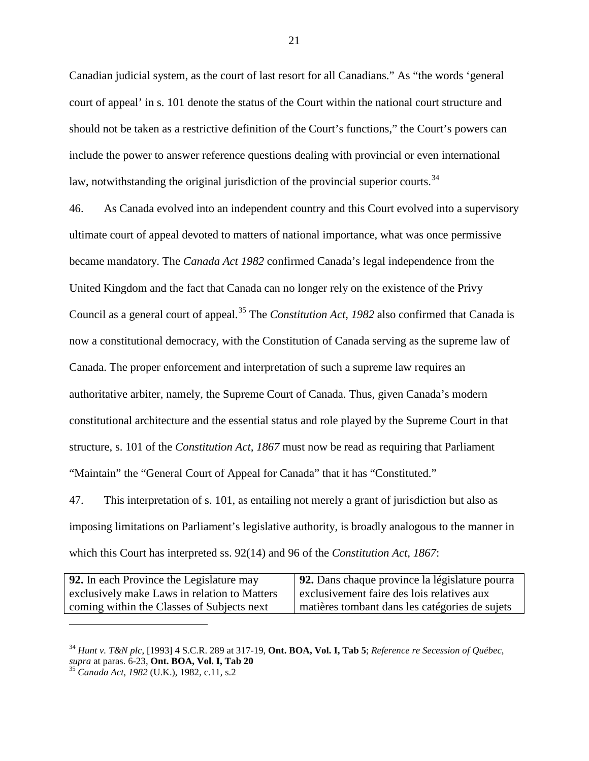Canadian judicial system, as the court of last resort for all Canadians." As "the words 'general court of appeal' in s. 101 denote the status of the Court within the national court structure and should not be taken as a restrictive definition of the Court's functions," the Court's powers can include the power to answer reference questions dealing with provincial or even international law, notwithstanding the original jurisdiction of the provincial superior courts.<sup>[34](#page-25-0)</sup>

46. As Canada evolved into an independent country and this Court evolved into a supervisory ultimate court of appeal devoted to matters of national importance, what was once permissive became mandatory. The *Canada Act 1982* confirmed Canada's legal independence from the United Kingdom and the fact that Canada can no longer rely on the existence of the Privy Council as a general court of appeal. [35](#page-25-1) The *Constitution Act, 1982* also confirmed that Canada is now a constitutional democracy, with the Constitution of Canada serving as the supreme law of Canada. The proper enforcement and interpretation of such a supreme law requires an authoritative arbiter, namely, the Supreme Court of Canada. Thus, given Canada's modern constitutional architecture and the essential status and role played by the Supreme Court in that structure, s. 101 of the *Constitution Act, 1867* must now be read as requiring that Parliament "Maintain" the "General Court of Appeal for Canada" that it has "Constituted."

47. This interpretation of s. 101, as entailing not merely a grant of jurisdiction but also as imposing limitations on Parliament's legislative authority, is broadly analogous to the manner in which this Court has interpreted ss. 92(14) and 96 of the *Constitution Act, 1867*:

| 92. In each Province the Legislature may     | 92. Dans chaque province la législature pourra |
|----------------------------------------------|------------------------------------------------|
| exclusively make Laws in relation to Matters | exclusivement faire des lois relatives aux     |
| coming within the Classes of Subjects next   | matières tombant dans les catégories de sujets |

<span id="page-25-0"></span><sup>34</sup> *Hunt v. T&N plc*, [1993] 4 S.C.R. 289 at 317-19, **Ont. BOA, Vol. I, Tab 5**; *Reference re Secession of Québec*,

<span id="page-25-1"></span>*s*<sup>5</sup> *Canada Act, 1982* (U.K.), 1982, c.11, s.2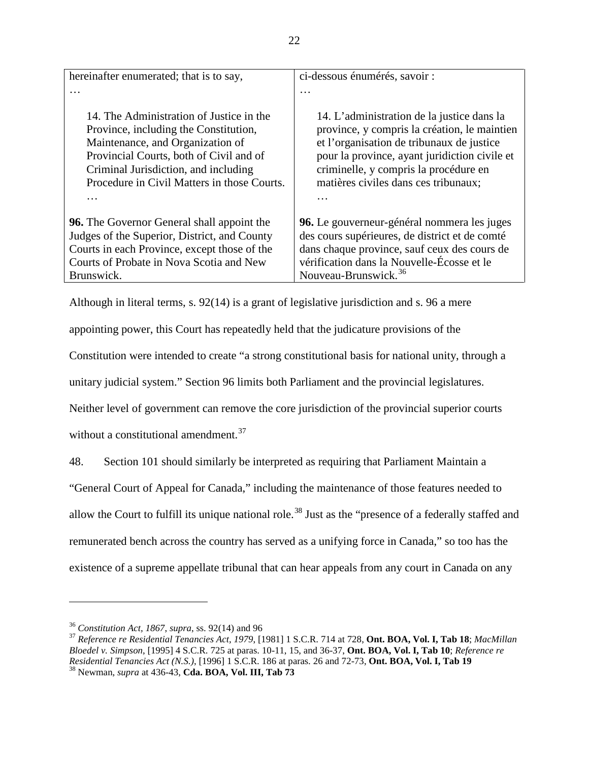| hereinafter enumerated; that is to say,                                                                                                                                                                                                                 | ci-dessous énumérés, savoir :                                                                                                                                                                                                                                             |
|---------------------------------------------------------------------------------------------------------------------------------------------------------------------------------------------------------------------------------------------------------|---------------------------------------------------------------------------------------------------------------------------------------------------------------------------------------------------------------------------------------------------------------------------|
| .                                                                                                                                                                                                                                                       | $\cdots$                                                                                                                                                                                                                                                                  |
| 14. The Administration of Justice in the<br>Province, including the Constitution,<br>Maintenance, and Organization of<br>Provincial Courts, both of Civil and of<br>Criminal Jurisdiction, and including<br>Procedure in Civil Matters in those Courts. | 14. L'administration de la justice dans la<br>province, y compris la création, le maintien<br>et l'organisation de tribunaux de justice<br>pour la province, ayant juridiction civile et<br>criminelle, y compris la procédure en<br>matières civiles dans ces tribunaux; |
| <b>96.</b> The Governor General shall appoint the<br>Judges of the Superior, District, and County                                                                                                                                                       | 96. Le gouverneur-général nommera les juges<br>des cours supérieures, de district et de comté                                                                                                                                                                             |
| Courts in each Province, except those of the                                                                                                                                                                                                            | dans chaque province, sauf ceux des cours de                                                                                                                                                                                                                              |
| Courts of Probate in Nova Scotia and New                                                                                                                                                                                                                | vérification dans la Nouvelle-Écosse et le                                                                                                                                                                                                                                |
| Brunswick.                                                                                                                                                                                                                                              | Nouveau-Brunswick. <sup>36</sup>                                                                                                                                                                                                                                          |

Although in literal terms, s. 92(14) is a grant of legislative jurisdiction and s. 96 a mere

appointing power, this Court has repeatedly held that the judicature provisions of the

Constitution were intended to create "a strong constitutional basis for national unity, through a

unitary judicial system." Section 96 limits both Parliament and the provincial legislatures.

Neither level of government can remove the core jurisdiction of the provincial superior courts

without a constitutional amendment.<sup>[37](#page-26-1)</sup>

48. Section 101 should similarly be interpreted as requiring that Parliament Maintain a

"General Court of Appeal for Canada," including the maintenance of those features needed to

allow the Court to fulfill its unique national role.<sup>[38](#page-26-2)</sup> Just as the "presence of a federally staffed and

remunerated bench across the country has served as a unifying force in Canada," so too has the

existence of a supreme appellate tribunal that can hear appeals from any court in Canada on any

<span id="page-26-2"></span><span id="page-26-1"></span><span id="page-26-0"></span><sup>36</sup> *Constitution Act, 1867*, *supra*, ss. 92(14) and 96 <sup>37</sup> *Reference re Residential Tenancies Act, 1979*, [1981] 1 S.C.R. 714 at 728, **Ont. BOA, Vol. I, Tab 18**; *MacMillan Bloedel v. Simpson*, [1995] 4 S.C.R. 725 at paras. 10-11, 15, and 36-37, **Ont. BOA, Vol. I, Tab 10**; *Reference re Residential Tenancies Act (N.S.)*, [1996] 1 S.C.R. 186 at paras. 26 and 72-73, **Ont. BOA, Vol. I, Tab 19** <sup>38</sup> Newman, *supra* at 436-43, **Cda. BOA, Vol. III, Tab 73**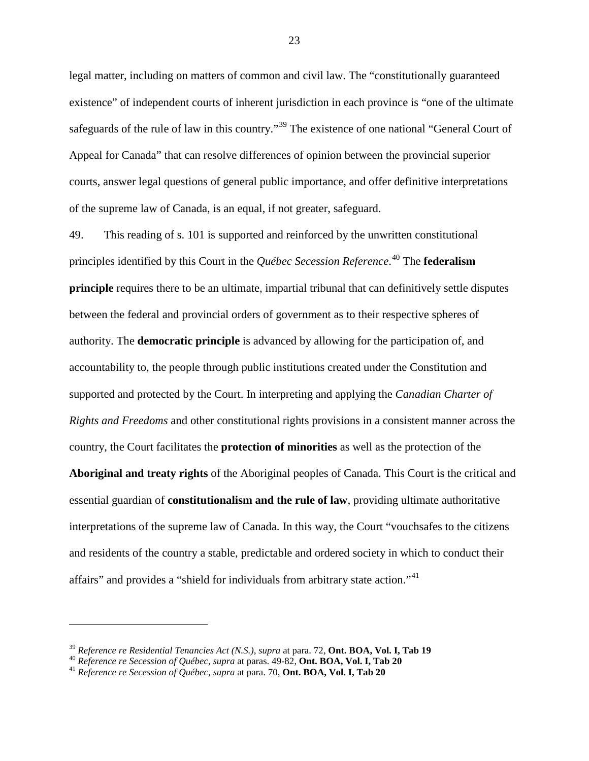legal matter, including on matters of common and civil law. The "constitutionally guaranteed existence" of independent courts of inherent jurisdiction in each province is "one of the ultimate safeguards of the rule of law in this country."<sup>[39](#page-27-0)</sup> The existence of one national "General Court of Appeal for Canada" that can resolve differences of opinion between the provincial superior courts, answer legal questions of general public importance, and offer definitive interpretations of the supreme law of Canada, is an equal, if not greater, safeguard.

49. This reading of s. 101 is supported and reinforced by the unwritten constitutional principles identified by this Court in the *Québec Secession Reference*. [40](#page-27-1) The **federalism principle** requires there to be an ultimate, impartial tribunal that can definitively settle disputes between the federal and provincial orders of government as to their respective spheres of authority. The **democratic principle** is advanced by allowing for the participation of, and accountability to, the people through public institutions created under the Constitution and supported and protected by the Court. In interpreting and applying the *Canadian Charter of Rights and Freedoms* and other constitutional rights provisions in a consistent manner across the country, the Court facilitates the **protection of minorities** as well as the protection of the **Aboriginal and treaty rights** of the Aboriginal peoples of Canada. This Court is the critical and essential guardian of **constitutionalism and the rule of law**, providing ultimate authoritative interpretations of the supreme law of Canada. In this way, the Court "vouchsafes to the citizens and residents of the country a stable, predictable and ordered society in which to conduct their affairs" and provides a "shield for individuals from arbitrary state action."[41](#page-27-2)

<span id="page-27-0"></span><sup>&</sup>lt;sup>39</sup> Reference re Residential Tenancies Act (N.S.), supra at para. 72, **Ont. BOA, Vol. I, Tab 19**<br><sup>40</sup> Reference re Secession of Québec, supra at paras. 49-82, **Ont. BOA, Vol. I, Tab 20**<br><sup>41</sup> Reference re Secession of Oué

<span id="page-27-1"></span>

<span id="page-27-2"></span>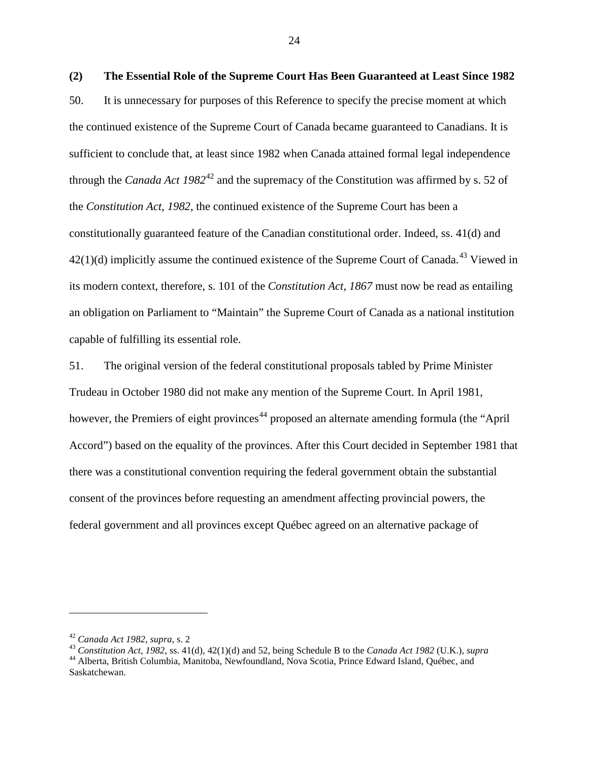<span id="page-28-0"></span>**(2) The Essential Role of the Supreme Court Has Been Guaranteed at Least Since 1982** 50. It is unnecessary for purposes of this Reference to specify the precise moment at which the continued existence of the Supreme Court of Canada became guaranteed to Canadians. It is sufficient to conclude that, at least since 1982 when Canada attained formal legal independence through the *Canada Act 1982*[42](#page-28-1) and the supremacy of the Constitution was affirmed by s. 52 of the *Constitution Act, 1982*, the continued existence of the Supreme Court has been a constitutionally guaranteed feature of the Canadian constitutional order. Indeed, ss. 41(d) and  $42(1)(d)$  implicitly assume the continued existence of the Supreme Court of Canada.<sup>[43](#page-28-2)</sup> Viewed in its modern context, therefore, s. 101 of the *Constitution Act, 1867* must now be read as entailing an obligation on Parliament to "Maintain" the Supreme Court of Canada as a national institution capable of fulfilling its essential role.

51. The original version of the federal constitutional proposals tabled by Prime Minister Trudeau in October 1980 did not make any mention of the Supreme Court. In April 1981, however, the Premiers of eight provinces<sup>[44](#page-28-3)</sup> proposed an alternate amending formula (the "April" Accord") based on the equality of the provinces. After this Court decided in September 1981 that there was a constitutional convention requiring the federal government obtain the substantial consent of the provinces before requesting an amendment affecting provincial powers, the federal government and all provinces except Québec agreed on an alternative package of

<span id="page-28-2"></span><span id="page-28-1"></span><sup>&</sup>lt;sup>42</sup> Canada Act 1982, supra, s. 2<br><sup>43</sup> Constitution Act, 1982, ss. 41(d), 42(1)(d) and 52, being Schedule B to the Canada Act 1982 (U.K.), supra<br><sup>44</sup> Alberta, British Columbia, Manitoba, Newfoundland, Nova Scotia, Prince

<span id="page-28-3"></span>Saskatchewan.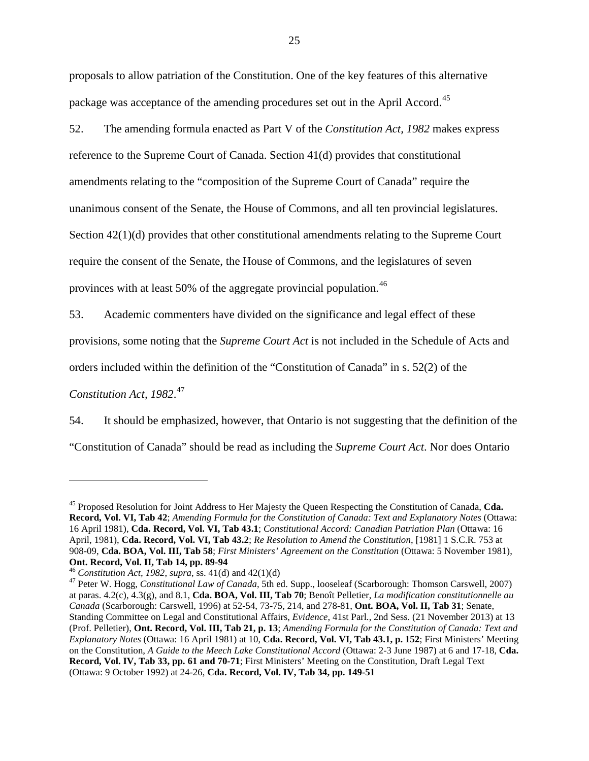proposals to allow patriation of the Constitution. One of the key features of this alternative package was acceptance of the amending procedures set out in the April Accord.<sup>[45](#page-29-0)</sup>

52. The amending formula enacted as Part V of the *Constitution Act, 1982* makes express reference to the Supreme Court of Canada. Section 41(d) provides that constitutional amendments relating to the "composition of the Supreme Court of Canada" require the unanimous consent of the Senate, the House of Commons, and all ten provincial legislatures. Section 42(1)(d) provides that other constitutional amendments relating to the Supreme Court require the consent of the Senate, the House of Commons, and the legislatures of seven provinces with at least 50% of the aggregate provincial population.[46](#page-29-1)

53. Academic commenters have divided on the significance and legal effect of these

provisions, some noting that the *Supreme Court Act* is not included in the Schedule of Acts and

orders included within the definition of the "Constitution of Canada" in s. 52(2) of the

*Constitution Act, 1982*. [47](#page-29-2)

i<br>I

54. It should be emphasized, however, that Ontario is not suggesting that the definition of the

"Constitution of Canada" should be read as including the *Supreme Court Act*. Nor does Ontario

<span id="page-29-0"></span><sup>45</sup> Proposed Resolution for Joint Address to Her Majesty the Queen Respecting the Constitution of Canada, **Cda. Record, Vol. VI, Tab 42**; *Amending Formula for the Constitution of Canada: Text and Explanatory Notes* (Ottawa: 16 April 1981), **Cda. Record, Vol. VI, Tab 43.1**; *Constitutional Accord: Canadian Patriation Plan* (Ottawa: 16 April, 1981), **Cda. Record, Vol. VI, Tab 43.2**; *Re Resolution to Amend the Constitution*, [1981] 1 S.C.R. 753 at 908-09, **Cda. BOA, Vol. III, Tab 58**; *First Ministers' Agreement on the Constitution* (Ottawa: 5 November 1981), **Ont. Record, Vol. II, Tab 14, pp. 89-94**<br><sup>46</sup> Constitution Act, 1982, supra, ss. 41(d) and 42(1)(d)

<span id="page-29-2"></span><span id="page-29-1"></span><sup>&</sup>lt;sup>47</sup> Peter W. Hogg, *Constitutional Law of Canada*, 5th ed. Supp., looseleaf (Scarborough: Thomson Carswell, 2007) at paras. 4.2(c), 4.3(g), and 8.1, **Cda. BOA, Vol. III, Tab 70**; Benoît Pelletier, *La modification constitutionnelle au Canada* (Scarborough: Carswell, 1996) at 52-54, 73-75, 214, and 278-81, **Ont. BOA, Vol. II, Tab 31**; Senate, Standing Committee on Legal and Constitutional Affairs, *Evidence*, 41st Parl., 2nd Sess. (21 November 2013) at 13 (Prof. Pelletier), **Ont. Record, Vol. III, Tab 21, p. 13**; *Amending Formula for the Constitution of Canada: Text and Explanatory Notes* (Ottawa: 16 April 1981) at 10, **Cda. Record, Vol. VI, Tab 43.1, p. 152**; First Ministers' Meeting on the Constitution, *A Guide to the Meech Lake Constitutional Accord* (Ottawa: 2-3 June 1987) at 6 and 17-18, **Cda. Record, Vol. IV, Tab 33, pp. 61 and 70-71**; First Ministers' Meeting on the Constitution, Draft Legal Text (Ottawa: 9 October 1992) at 24-26, **Cda. Record, Vol. IV, Tab 34, pp. 149-51**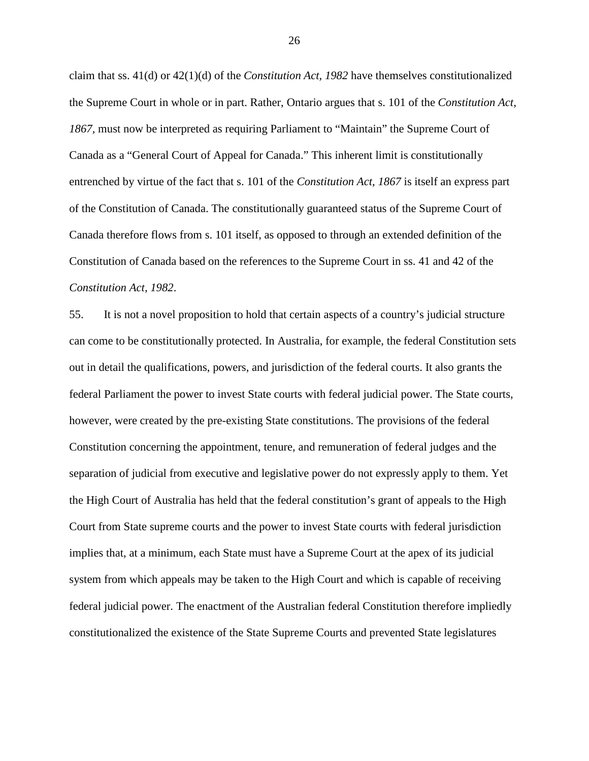claim that ss. 41(d) or 42(1)(d) of the *Constitution Act, 1982* have themselves constitutionalized the Supreme Court in whole or in part. Rather, Ontario argues that s. 101 of the *Constitution Act, 1867,* must now be interpreted as requiring Parliament to "Maintain" the Supreme Court of Canada as a "General Court of Appeal for Canada." This inherent limit is constitutionally entrenched by virtue of the fact that s. 101 of the *Constitution Act, 1867* is itself an express part of the Constitution of Canada. The constitutionally guaranteed status of the Supreme Court of Canada therefore flows from s. 101 itself, as opposed to through an extended definition of the Constitution of Canada based on the references to the Supreme Court in ss. 41 and 42 of the *Constitution Act, 1982*.

55. It is not a novel proposition to hold that certain aspects of a country's judicial structure can come to be constitutionally protected. In Australia, for example, the federal Constitution sets out in detail the qualifications, powers, and jurisdiction of the federal courts. It also grants the federal Parliament the power to invest State courts with federal judicial power. The State courts, however, were created by the pre-existing State constitutions. The provisions of the federal Constitution concerning the appointment, tenure, and remuneration of federal judges and the separation of judicial from executive and legislative power do not expressly apply to them. Yet the High Court of Australia has held that the federal constitution's grant of appeals to the High Court from State supreme courts and the power to invest State courts with federal jurisdiction implies that, at a minimum, each State must have a Supreme Court at the apex of its judicial system from which appeals may be taken to the High Court and which is capable of receiving federal judicial power. The enactment of the Australian federal Constitution therefore impliedly constitutionalized the existence of the State Supreme Courts and prevented State legislatures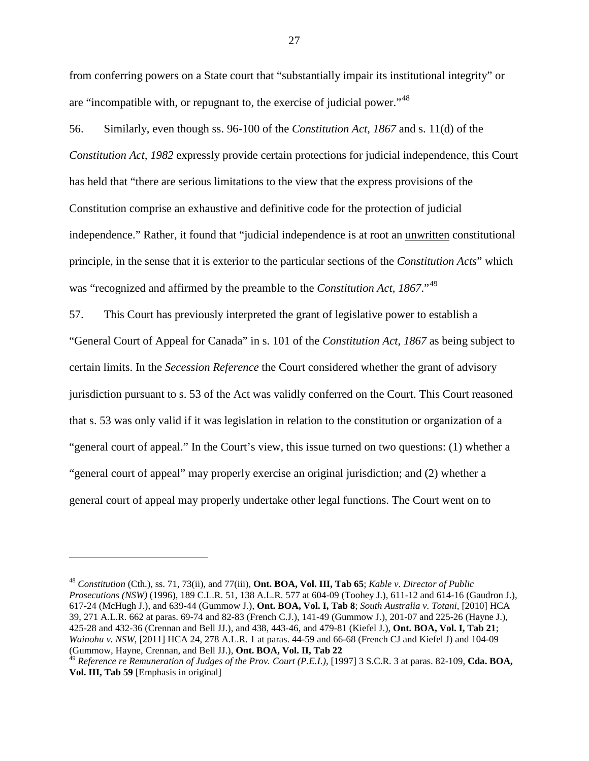from conferring powers on a State court that "substantially impair its institutional integrity" or are "incompatible with, or repugnant to, the exercise of judicial power."[48](#page-31-0)

56. Similarly, even though ss. 96-100 of the *Constitution Act, 1867* and s. 11(d) of the *Constitution Act, 1982* expressly provide certain protections for judicial independence, this Court has held that "there are serious limitations to the view that the express provisions of the Constitution comprise an exhaustive and definitive code for the protection of judicial independence." Rather, it found that "judicial independence is at root an unwritten constitutional principle, in the sense that it is exterior to the particular sections of the *Constitution Acts*" which was "recognized and affirmed by the preamble to the *Constitution Act, 1867*."<sup>[49](#page-31-1)</sup>

57. This Court has previously interpreted the grant of legislative power to establish a "General Court of Appeal for Canada" in s. 101 of the *Constitution Act, 1867* as being subject to certain limits. In the *Secession Reference* the Court considered whether the grant of advisory jurisdiction pursuant to s. 53 of the Act was validly conferred on the Court. This Court reasoned that s. 53 was only valid if it was legislation in relation to the constitution or organization of a "general court of appeal." In the Court's view, this issue turned on two questions: (1) whether a "general court of appeal" may properly exercise an original jurisdiction; and (2) whether a general court of appeal may properly undertake other legal functions. The Court went on to

<span id="page-31-0"></span><sup>48</sup> *Constitution* (Cth.), ss. 71, 73(ii), and 77(iii), **Ont. BOA, Vol. III, Tab 65**; *Kable v. Director of Public Prosecutions (NSW)* (1996), 189 C.L.R. 51, 138 A.L.R. 577 at 604-09 (Toohey J.), 611-12 and 614-16 (Gaudron J.), 617-24 (McHugh J.), and 639-44 (Gummow J.), **Ont. BOA, Vol. I, Tab 8**; *South Australia v. Totani*, [2010] HCA 39, 271 A.L.R. 662 at paras. 69-74 and 82-83 (French C.J.), 141-49 (Gummow J.), 201-07 and 225-26 (Hayne J.), 425-28 and 432-36 (Crennan and Bell JJ.), and 438, 443-46, and 479-81 (Kiefel J.), **Ont. BOA, Vol. I, Tab 21**; *Wainohu v. NSW*, [2011] HCA 24, 278 A.L.R. 1 at paras. 44-59 and 66-68 (French CJ and Kiefel J) and 104-09 (Gummow, Hayne, Crennan, and Bell JJ.), **Ont. BOA, Vol. II, Tab 22**

<span id="page-31-1"></span><sup>49</sup> *Reference re Remuneration of Judges of the Prov. Court (P.E.I.)*, [1997] 3 S.C.R. 3 at paras. 82-109, **Cda. BOA, Vol. III, Tab 59** [Emphasis in original]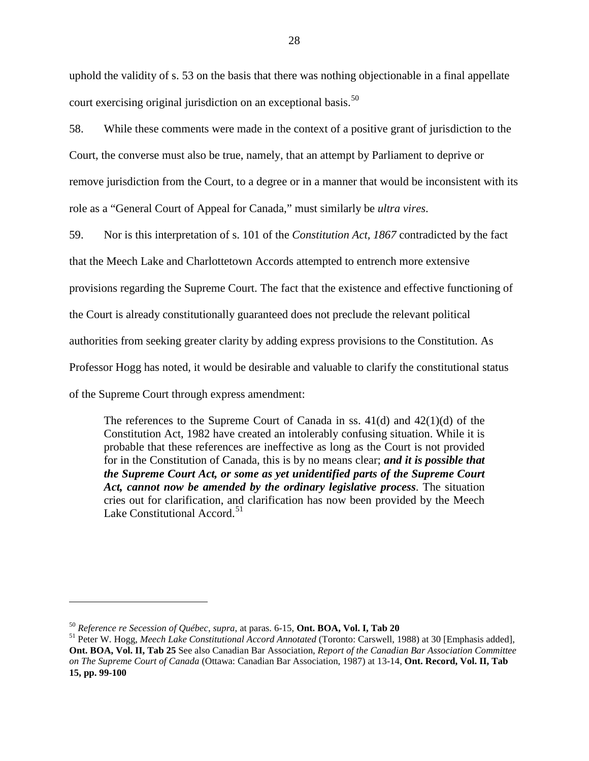uphold the validity of s. 53 on the basis that there was nothing objectionable in a final appellate court exercising original jurisdiction on an exceptional basis.<sup>[50](#page-32-0)</sup>

58. While these comments were made in the context of a positive grant of jurisdiction to the Court, the converse must also be true, namely, that an attempt by Parliament to deprive or remove jurisdiction from the Court, to a degree or in a manner that would be inconsistent with its role as a "General Court of Appeal for Canada," must similarly be *ultra vires*.

59. Nor is this interpretation of s. 101 of the *Constitution Act, 1867* contradicted by the fact

that the Meech Lake and Charlottetown Accords attempted to entrench more extensive

provisions regarding the Supreme Court. The fact that the existence and effective functioning of

the Court is already constitutionally guaranteed does not preclude the relevant political

authorities from seeking greater clarity by adding express provisions to the Constitution. As

Professor Hogg has noted, it would be desirable and valuable to clarify the constitutional status

of the Supreme Court through express amendment:

i<br>I

The references to the Supreme Court of Canada in ss.  $41(d)$  and  $42(1)(d)$  of the Constitution Act, 1982 have created an intolerably confusing situation. While it is probable that these references are ineffective as long as the Court is not provided for in the Constitution of Canada, this is by no means clear; *and it is possible that the Supreme Court Act, or some as yet unidentified parts of the Supreme Court Act, cannot now be amended by the ordinary legislative process*. The situation cries out for clarification, and clarification has now been provided by the Meech Lake Constitutional Accord.<sup>[51](#page-32-1)</sup>

<span id="page-32-1"></span>

<span id="page-32-0"></span><sup>&</sup>lt;sup>50</sup> *Reference re Secession of Québec, supra,* at paras. 6-15, **Ont. BOA, Vol. I, Tab 20**<br><sup>51</sup> Peter W. Hogg, *Meech Lake Constitutional Accord Annotated* (Toronto: Carswell, 1988) at 30 [Emphasis added], **Ont. BOA, Vol. II, Tab 25** See also Canadian Bar Association, *Report of the Canadian Bar Association Committee on The Supreme Court of Canada* (Ottawa: Canadian Bar Association, 1987) at 13-14, **Ont. Record, Vol. II, Tab 15, pp. 99-100**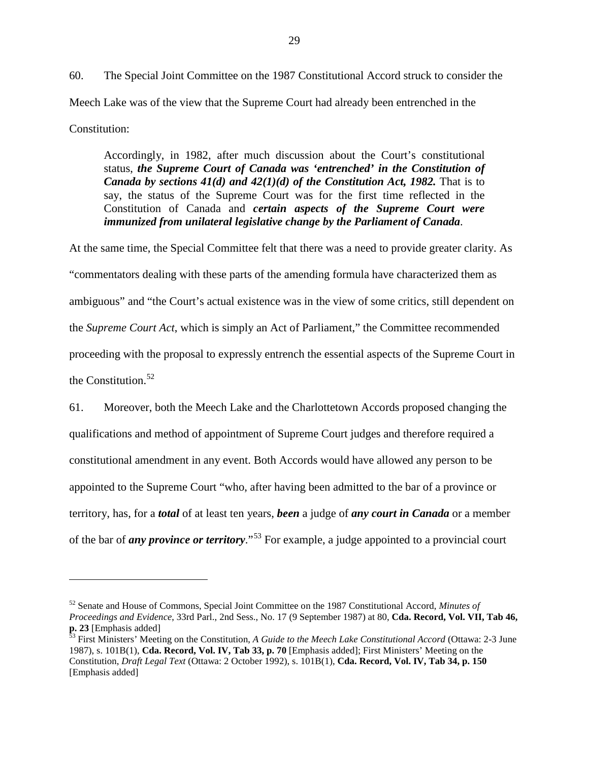60. The Special Joint Committee on the 1987 Constitutional Accord struck to consider the Meech Lake was of the view that the Supreme Court had already been entrenched in the Constitution:

Accordingly, in 1982, after much discussion about the Court's constitutional status, *the Supreme Court of Canada was 'entrenched' in the Constitution of Canada by sections 41(d) and 42(1)(d) of the Constitution Act, 1982.* That is to say, the status of the Supreme Court was for the first time reflected in the Constitution of Canada and *certain aspects of the Supreme Court were immunized from unilateral legislative change by the Parliament of Canada*.

At the same time, the Special Committee felt that there was a need to provide greater clarity. As "commentators dealing with these parts of the amending formula have characterized them as ambiguous" and "the Court's actual existence was in the view of some critics, still dependent on the *Supreme Court Act*, which is simply an Act of Parliament," the Committee recommended proceeding with the proposal to expressly entrench the essential aspects of the Supreme Court in the Constitution. $52$ 

61. Moreover, both the Meech Lake and the Charlottetown Accords proposed changing the qualifications and method of appointment of Supreme Court judges and therefore required a constitutional amendment in any event. Both Accords would have allowed any person to be appointed to the Supreme Court "who, after having been admitted to the bar of a province or territory, has, for a *total* of at least ten years, *been* a judge of *any court in Canada* or a member of the bar of *any province or territory*."[53](#page-33-1) For example, a judge appointed to a provincial court

<span id="page-33-0"></span><sup>52</sup> Senate and House of Commons, Special Joint Committee on the 1987 Constitutional Accord, *Minutes of Proceedings and Evidence*, 33rd Parl., 2nd Sess., No. 17 (9 September 1987) at 80, **Cda. Record, Vol. VII, Tab 46, p. 23** [Emphasis added]

<span id="page-33-1"></span>First Ministers' Meeting on the Constitution, *A Guide to the Meech Lake Constitutional Accord* (Ottawa: 2-3 June 1987), s. 101B(1), **Cda. Record, Vol. IV, Tab 33, p. 70** [Emphasis added]; First Ministers' Meeting on the Constitution, *Draft Legal Text* (Ottawa: 2 October 1992), s. 101B(1), **Cda. Record, Vol. IV, Tab 34, p. 150** [Emphasis added]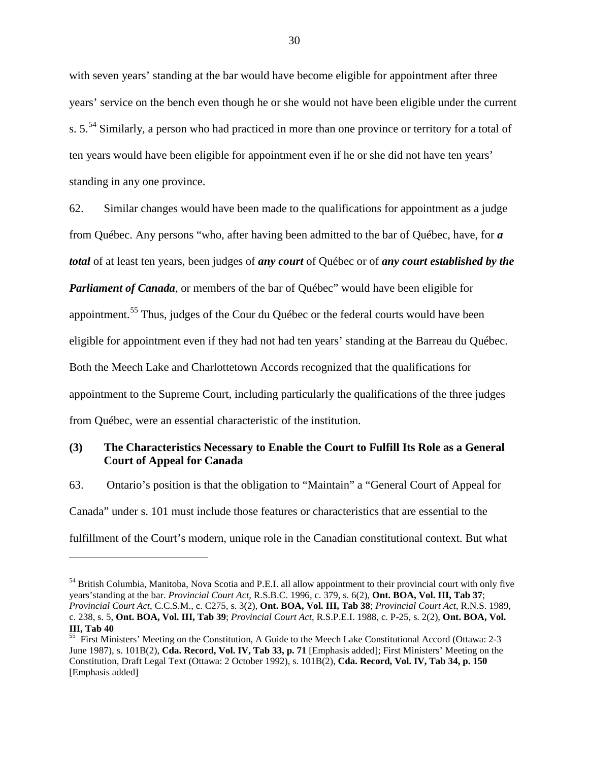with seven years' standing at the bar would have become eligible for appointment after three years' service on the bench even though he or she would not have been eligible under the current s. 5.<sup>[54](#page-34-1)</sup> Similarly, a person who had practiced in more than one province or territory for a total of ten years would have been eligible for appointment even if he or she did not have ten years' standing in any one province.

62. Similar changes would have been made to the qualifications for appointment as a judge from Québec. Any persons "who, after having been admitted to the bar of Québec, have, for *a total* of at least ten years, been judges of *any court* of Québec or of *any court established by the Parliament of Canada*, or members of the bar of Québec" would have been eligible for appointment.<sup>[55](#page-34-2)</sup> Thus, judges of the Cour du Québec or the federal courts would have been eligible for appointment even if they had not had ten years' standing at the Barreau du Québec. Both the Meech Lake and Charlottetown Accords recognized that the qualifications for appointment to the Supreme Court, including particularly the qualifications of the three judges from Québec, were an essential characteristic of the institution.

## <span id="page-34-0"></span>**(3) The Characteristics Necessary to Enable the Court to Fulfill Its Role as a General Court of Appeal for Canada**

63. Ontario's position is that the obligation to "Maintain" a "General Court of Appeal for Canada" under s. 101 must include those features or characteristics that are essential to the fulfillment of the Court's modern, unique role in the Canadian constitutional context. But what

<span id="page-34-1"></span><sup>54</sup> British Columbia, Manitoba, Nova Scotia and P.E.I. all allow appointment to their provincial court with only five years'standing at the bar. *Provincial Court Act*, R.S.B.C. 1996, c. 379, s. 6(2), **Ont. BOA, Vol. III, Tab 37**; *Provincial Court Act*, C.C.S.M., c. C275, s. 3(2), **Ont. BOA, Vol. III, Tab 38**; *Provincial Court Act*, R.N.S. 1989, c. 238, s. 5, **Ont. BOA, Vol. III, Tab 39**; *Provincial Court Act*, R.S.P.E.I. 1988, c. P-25, s. 2(2), **Ont. BOA, Vol. III, Tab 40**

<span id="page-34-2"></span><sup>&</sup>lt;sup>55</sup> First Ministers' Meeting on the Constitution, A Guide to the Meech Lake Constitutional Accord (Ottawa: 2-3 June 1987), s. 101B(2), **Cda. Record, Vol. IV, Tab 33, p. 71** [Emphasis added]; First Ministers' Meeting on the Constitution, Draft Legal Text (Ottawa: 2 October 1992), s. 101B(2), **Cda. Record, Vol. IV, Tab 34, p. 150** [Emphasis added]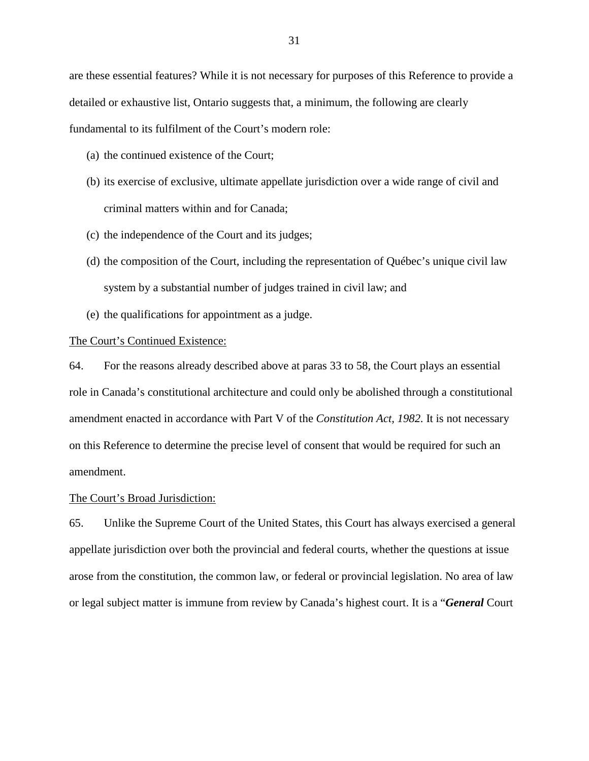are these essential features? While it is not necessary for purposes of this Reference to provide a detailed or exhaustive list, Ontario suggests that, a minimum, the following are clearly fundamental to its fulfilment of the Court's modern role:

- (a) the continued existence of the Court;
- (b) its exercise of exclusive, ultimate appellate jurisdiction over a wide range of civil and criminal matters within and for Canada;
- (c) the independence of the Court and its judges;
- (d) the composition of the Court, including the representation of Québec's unique civil law system by a substantial number of judges trained in civil law; and
- (e) the qualifications for appointment as a judge.

## <span id="page-35-0"></span>The Court's Continued Existence:

64. For the reasons already described above at paras 33 to 58, the Court plays an essential role in Canada's constitutional architecture and could only be abolished through a constitutional amendment enacted in accordance with Part V of the *Constitution Act, 1982*. It is not necessary on this Reference to determine the precise level of consent that would be required for such an amendment.

## <span id="page-35-1"></span>The Court's Broad Jurisdiction:

65. Unlike the Supreme Court of the United States, this Court has always exercised a general appellate jurisdiction over both the provincial and federal courts, whether the questions at issue arose from the constitution, the common law, or federal or provincial legislation. No area of law or legal subject matter is immune from review by Canada's highest court. It is a "*General* Court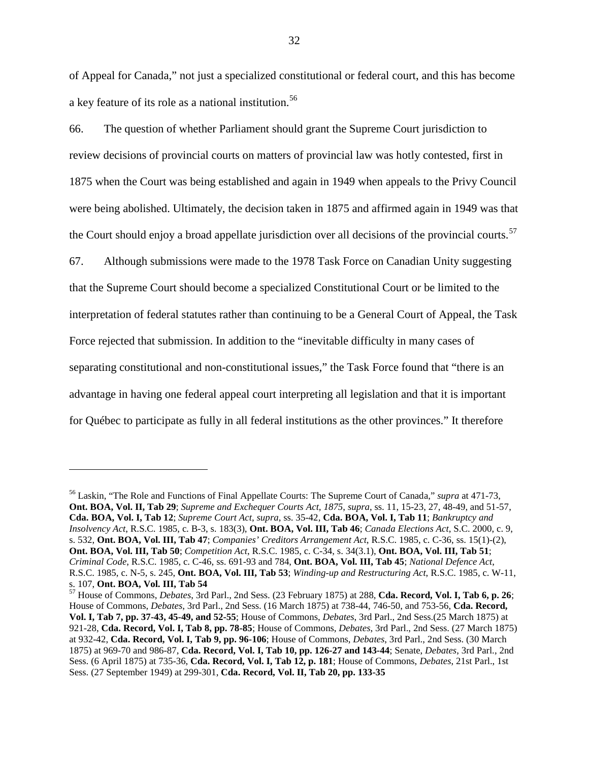of Appeal for Canada," not just a specialized constitutional or federal court, and this has become a key feature of its role as a national institution.<sup>[56](#page-36-0)</sup>

66. The question of whether Parliament should grant the Supreme Court jurisdiction to review decisions of provincial courts on matters of provincial law was hotly contested, first in 1875 when the Court was being established and again in 1949 when appeals to the Privy Council were being abolished. Ultimately, the decision taken in 1875 and affirmed again in 1949 was that the Court should enjoy a broad appellate jurisdiction over all decisions of the provincial courts.<sup>[57](#page-36-1)</sup>

67. Although submissions were made to the 1978 Task Force on Canadian Unity suggesting that the Supreme Court should become a specialized Constitutional Court or be limited to the interpretation of federal statutes rather than continuing to be a General Court of Appeal, the Task Force rejected that submission. In addition to the "inevitable difficulty in many cases of separating constitutional and non-constitutional issues," the Task Force found that "there is an advantage in having one federal appeal court interpreting all legislation and that it is important for Québec to participate as fully in all federal institutions as the other provinces." It therefore

<span id="page-36-0"></span><sup>56</sup> Laskin, "The Role and Functions of Final Appellate Courts: The Supreme Court of Canada," *supra* at 471-73, **Ont. BOA, Vol. II, Tab 29**; *Supreme and Exchequer Courts Act, 1875*, *supra*, ss. 11, 15-23, 27, 48-49, and 51-57, **Cda. BOA, Vol. I, Tab 12**; *Supreme Court Act*, *supra*, ss. 35-42, **Cda. BOA, Vol. I, Tab 11**; *Bankruptcy and Insolvency Act*, R.S.C. 1985, c. B-3, s. 183(3), **Ont. BOA, Vol. III, Tab 46**; *Canada Elections Act*, S.C. 2000, c. 9, s. 532, **Ont. BOA, Vol. III, Tab 47**; *Companies' Creditors Arrangement Act*, R.S.C. 1985, c. C-36, ss. 15(1)-(2), **Ont. BOA, Vol. III, Tab 50**; *Competition Act*, R.S.C. 1985, c. C-34, s. 34(3.1), **Ont. BOA, Vol. III, Tab 51**; *Criminal Code*, R.S.C. 1985, c. C-46, ss. 691-93 and 784, **Ont. BOA, Vol. III, Tab 45**; *National Defence Act*, R.S.C. 1985, c. N-5, s. 245, **Ont. BOA, Vol. III, Tab 53**; *Winding-up and Restructuring Act*, R.S.C. 1985, c. W-11,

<span id="page-36-1"></span>s. 107, **Ont. BOA, Vol. III, Tab 54** <sup>57</sup> House of Commons, *Debates*, 3rd Parl., 2nd Sess. (23 February 1875) at 288, **Cda. Record, Vol. I, Tab 6, p. 26**; House of Commons, *Debates*, 3rd Parl., 2nd Sess. (16 March 1875) at 738-44, 746-50, and 753-56, **Cda. Record, Vol. I, Tab 7, pp. 37-43, 45-49, and 52-55**; House of Commons, *Debates*, 3rd Parl., 2nd Sess.(25 March 1875) at 921-28, **Cda. Record, Vol. I, Tab 8, pp. 78-85**; House of Commons, *Debates*, 3rd Parl., 2nd Sess. (27 March 1875) at 932-42, **Cda. Record, Vol. I, Tab 9, pp. 96-106**; House of Commons, *Debates*, 3rd Parl., 2nd Sess. (30 March 1875) at 969-70 and 986-87, **Cda. Record, Vol. I, Tab 10, pp. 126-27 and 143-44**; Senate, *Debates*, 3rd Parl., 2nd Sess. (6 April 1875) at 735-36, **Cda. Record, Vol. I, Tab 12, p. 181**; House of Commons, *Debates*, 21st Parl., 1st Sess. (27 September 1949) at 299-301, **Cda. Record, Vol. II, Tab 20, pp. 133-35**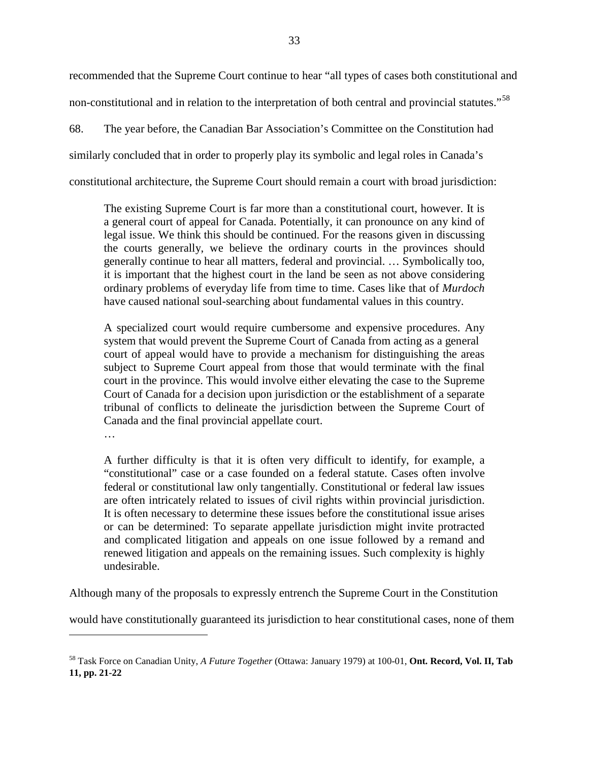recommended that the Supreme Court continue to hear "all types of cases both constitutional and non-constitutional and in relation to the interpretation of both central and provincial statutes."[58](#page-37-0)

68. The year before, the Canadian Bar Association's Committee on the Constitution had similarly concluded that in order to properly play its symbolic and legal roles in Canada's constitutional architecture, the Supreme Court should remain a court with broad jurisdiction:

The existing Supreme Court is far more than a constitutional court, however. It is a general court of appeal for Canada. Potentially, it can pronounce on any kind of legal issue. We think this should be continued. For the reasons given in discussing the courts generally, we believe the ordinary courts in the provinces should generally continue to hear all matters, federal and provincial. … Symbolically too, it is important that the highest court in the land be seen as not above considering ordinary problems of everyday life from time to time. Cases like that of *Murdoch* have caused national soul-searching about fundamental values in this country.

A specialized court would require cumbersome and expensive procedures. Any system that would prevent the Supreme Court of Canada from acting as a general court of appeal would have to provide a mechanism for distinguishing the areas subject to Supreme Court appeal from those that would terminate with the final court in the province. This would involve either elevating the case to the Supreme Court of Canada for a decision upon jurisdiction or the establishment of a separate tribunal of conflicts to delineate the jurisdiction between the Supreme Court of Canada and the final provincial appellate court.

…

i<br>I

A further difficulty is that it is often very difficult to identify, for example, a "constitutional" case or a case founded on a federal statute. Cases often involve federal or constitutional law only tangentially. Constitutional or federal law issues are often intricately related to issues of civil rights within provincial jurisdiction. It is often necessary to determine these issues before the constitutional issue arises or can be determined: To separate appellate jurisdiction might invite protracted and complicated litigation and appeals on one issue followed by a remand and renewed litigation and appeals on the remaining issues. Such complexity is highly undesirable.

Although many of the proposals to expressly entrench the Supreme Court in the Constitution

would have constitutionally guaranteed its jurisdiction to hear constitutional cases, none of them

<span id="page-37-0"></span><sup>58</sup> Task Force on Canadian Unity, *A Future Together* (Ottawa: January 1979) at 100-01, **Ont. Record, Vol. II, Tab 11, pp. 21-22**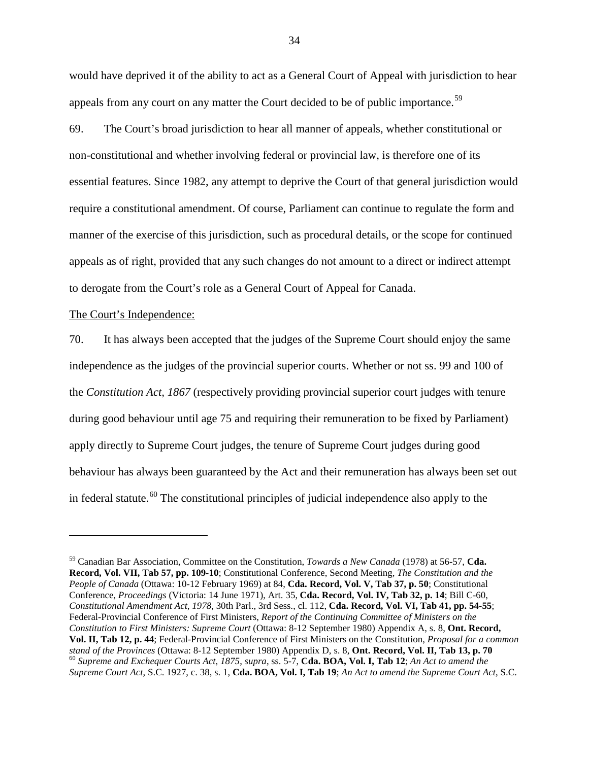would have deprived it of the ability to act as a General Court of Appeal with jurisdiction to hear appeals from any court on any matter the Court decided to be of public importance.<sup>[59](#page-38-1)</sup>

69. The Court's broad jurisdiction to hear all manner of appeals, whether constitutional or non-constitutional and whether involving federal or provincial law, is therefore one of its essential features. Since 1982, any attempt to deprive the Court of that general jurisdiction would require a constitutional amendment. Of course, Parliament can continue to regulate the form and manner of the exercise of this jurisdiction, such as procedural details, or the scope for continued appeals as of right, provided that any such changes do not amount to a direct or indirect attempt to derogate from the Court's role as a General Court of Appeal for Canada.

## <span id="page-38-0"></span>The Court's Independence:

i<br>I

70. It has always been accepted that the judges of the Supreme Court should enjoy the same independence as the judges of the provincial superior courts. Whether or not ss. 99 and 100 of the *Constitution Act, 1867* (respectively providing provincial superior court judges with tenure during good behaviour until age 75 and requiring their remuneration to be fixed by Parliament) apply directly to Supreme Court judges, the tenure of Supreme Court judges during good behaviour has always been guaranteed by the Act and their remuneration has always been set out in federal statute.<sup>[60](#page-38-2)</sup> The constitutional principles of judicial independence also apply to the

<span id="page-38-2"></span><span id="page-38-1"></span><sup>59</sup> Canadian Bar Association, Committee on the Constitution, *Towards a New Canada* (1978) at 56-57, **Cda. Record, Vol. VII, Tab 57, pp. 109-10**; Constitutional Conference, Second Meeting, *The Constitution and the People of Canada* (Ottawa: 10-12 February 1969) at 84, **Cda. Record, Vol. V, Tab 37, p. 50**; Constitutional Conference, *Proceedings* (Victoria: 14 June 1971), Art. 35, **Cda. Record, Vol. IV, Tab 32, p. 14**; Bill C-60, *Constitutional Amendment Act, 1978*, 30th Parl., 3rd Sess., cl. 112, **Cda. Record, Vol. VI, Tab 41, pp. 54-55**; Federal-Provincial Conference of First Ministers, *Report of the Continuing Committee of Ministers on the Constitution to First Ministers: Supreme Court* (Ottawa: 8-12 September 1980) Appendix A, s. 8, **Ont. Record, Vol. II, Tab 12, p. 44**; Federal-Provincial Conference of First Ministers on the Constitution, *Proposal for a common*   $^{60}$  Supreme and Exchequer Courts Act, 1875, supra, ss. 5-7, Cda. BOA, Vol. I, Tab 12; An Act to amend the *Supreme Court Act*, S.C. 1927, c. 38, s. 1, **Cda. BOA, Vol. I, Tab 19**; *An Act to amend the Supreme Court Act*, S.C.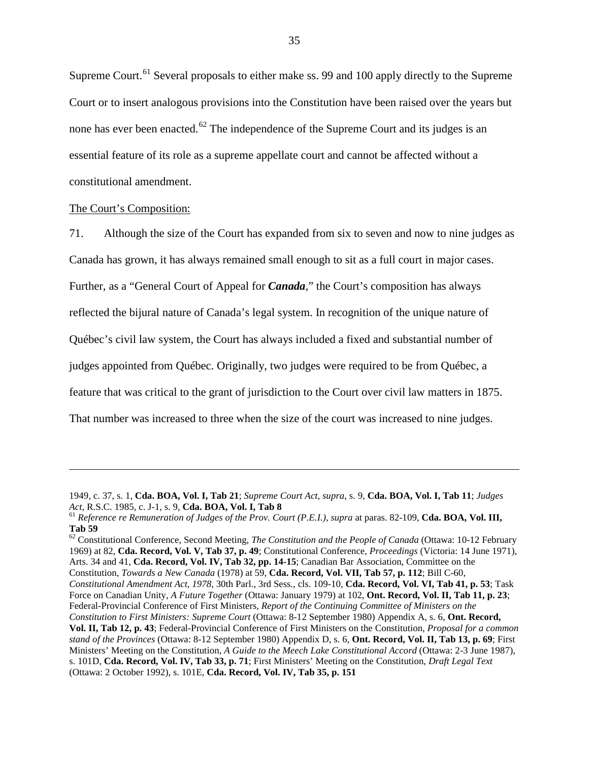Supreme Court.<sup>[61](#page-39-1)</sup> Several proposals to either make ss. 99 and 100 apply directly to the Supreme Court or to insert analogous provisions into the Constitution have been raised over the years but none has ever been enacted.<sup>[62](#page-39-2)</sup> The independence of the Supreme Court and its judges is an essential feature of its role as a supreme appellate court and cannot be affected without a constitutional amendment.

## <span id="page-39-0"></span>The Court's Composition:

i<br>I

71. Although the size of the Court has expanded from six to seven and now to nine judges as Canada has grown, it has always remained small enough to sit as a full court in major cases. Further, as a "General Court of Appeal for *Canada*," the Court's composition has always reflected the bijural nature of Canada's legal system. In recognition of the unique nature of Québec's civil law system, the Court has always included a fixed and substantial number of judges appointed from Québec. Originally, two judges were required to be from Québec, a feature that was critical to the grant of jurisdiction to the Court over civil law matters in 1875. That number was increased to three when the size of the court was increased to nine judges.

<sup>1949,</sup> c. 37, s. 1, **Cda. BOA, Vol. I, Tab 21**; *Supreme Court Act*, *supra*, s. 9, **Cda. BOA, Vol. I, Tab 11**; *Judges* 

<span id="page-39-1"></span><sup>&</sup>lt;sup>61</sup> Reference re Remuneration of Judges of the Prov. Court (P.E.I.), supra at paras. 82-109, **Cda. BOA, Vol. III, Tab 59**

<span id="page-39-2"></span><sup>62</sup> Constitutional Conference, Second Meeting, *The Constitution and the People of Canada* (Ottawa: 10-12 February 1969) at 82, **Cda. Record, Vol. V, Tab 37, p. 49**; Constitutional Conference, *Proceedings* (Victoria: 14 June 1971), Arts. 34 and 41, **Cda. Record, Vol. IV, Tab 32, pp. 14-15**; Canadian Bar Association, Committee on the Constitution, *Towards a New Canada* (1978) at 59, **Cda. Record, Vol. VII, Tab 57, p. 112**; Bill C-60,

*Constitutional Amendment Act, 1978*, 30th Parl., 3rd Sess., cls. 109-10, **Cda. Record, Vol. VI, Tab 41, p. 53**; Task Force on Canadian Unity, *A Future Together* (Ottawa: January 1979) at 102, **Ont. Record, Vol. II, Tab 11, p. 23**; Federal-Provincial Conference of First Ministers, *Report of the Continuing Committee of Ministers on the* 

*Constitution to First Ministers: Supreme Court* (Ottawa: 8-12 September 1980) Appendix A, s. 6, **Ont. Record, Vol. II, Tab 12, p. 43**; Federal-Provincial Conference of First Ministers on the Constitution, *Proposal for a common stand of the Provinces* (Ottawa: 8-12 September 1980) Appendix D, s. 6, **Ont. Record, Vol. II, Tab 13, p. 69**; First Ministers' Meeting on the Constitution, *A Guide to the Meech Lake Constitutional Accord* (Ottawa: 2-3 June 1987), s. 101D, **Cda. Record, Vol. IV, Tab 33, p. 71**; First Ministers' Meeting on the Constitution, *Draft Legal Text* (Ottawa: 2 October 1992), s. 101E, **Cda. Record, Vol. IV, Tab 35, p. 151**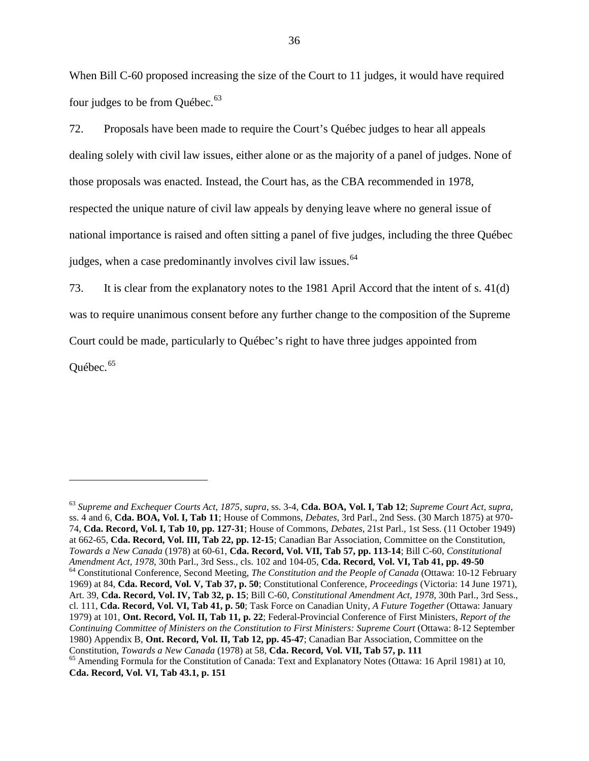When Bill C-60 proposed increasing the size of the Court to 11 judges, it would have required four judges to be from Québec.<sup>[63](#page-40-0)</sup>

72. Proposals have been made to require the Court's Québec judges to hear all appeals dealing solely with civil law issues, either alone or as the majority of a panel of judges. None of those proposals was enacted. Instead, the Court has, as the CBA recommended in 1978, respected the unique nature of civil law appeals by denying leave where no general issue of national importance is raised and often sitting a panel of five judges, including the three Québec judges, when a case predominantly involves civil law issues.<sup>[64](#page-40-1)</sup>

73. It is clear from the explanatory notes to the 1981 April Accord that the intent of s. 41(d) was to require unanimous consent before any further change to the composition of the Supreme Court could be made, particularly to Québec's right to have three judges appointed from Ouébec. $65$ 

<span id="page-40-2"></span><span id="page-40-1"></span><span id="page-40-0"></span><sup>63</sup> *Supreme and Exchequer Courts Act, 1875*, *supra*, ss. 3-4, **Cda. BOA, Vol. I, Tab 12**; *Supreme Court Act*, *supra*, ss. 4 and 6, **Cda. BOA, Vol. I, Tab 11**; House of Commons, *Debates*, 3rd Parl., 2nd Sess. (30 March 1875) at 970- 74, **Cda. Record, Vol. I, Tab 10, pp. 127-31**; House of Commons, *Debates*, 21st Parl., 1st Sess. (11 October 1949) at 662-65, **Cda. Record, Vol. III, Tab 22, pp. 12-15**; Canadian Bar Association, Committee on the Constitution, *Towards a New Canada* (1978) at 60-61, **Cda. Record, Vol. VII, Tab 57, pp. 113-14**; Bill C-60, *Constitutional*  <sup>64</sup> Constitutional Conference, Second Meeting, The Constitution and the People of Canada (Ottawa: 10-12 February 1969) at 84, **Cda. Record, Vol. V, Tab 37, p. 50**; Constitutional Conference, *Proceedings* (Victoria: 14 June 1971), Art. 39, **Cda. Record, Vol. IV, Tab 32, p. 15**; Bill C-60, *Constitutional Amendment Act, 1978*, 30th Parl., 3rd Sess., cl. 111, **Cda. Record, Vol. VI, Tab 41, p. 50**; Task Force on Canadian Unity, *A Future Together* (Ottawa: January 1979) at 101, **Ont. Record, Vol. II, Tab 11, p. 22**; Federal-Provincial Conference of First Ministers, *Report of the Continuing Committee of Ministers on the Constitution to First Ministers: Supreme Court* (Ottawa: 8-12 September 1980) Appendix B, **Ont. Record, Vol. II, Tab 12, pp. 45-47**; Canadian Bar Association, Committee on the <sup>65</sup> Amending Formula for the Constitution of Canada: Text and Explanatory Notes (Ottawa: 16 April 1981) at 10,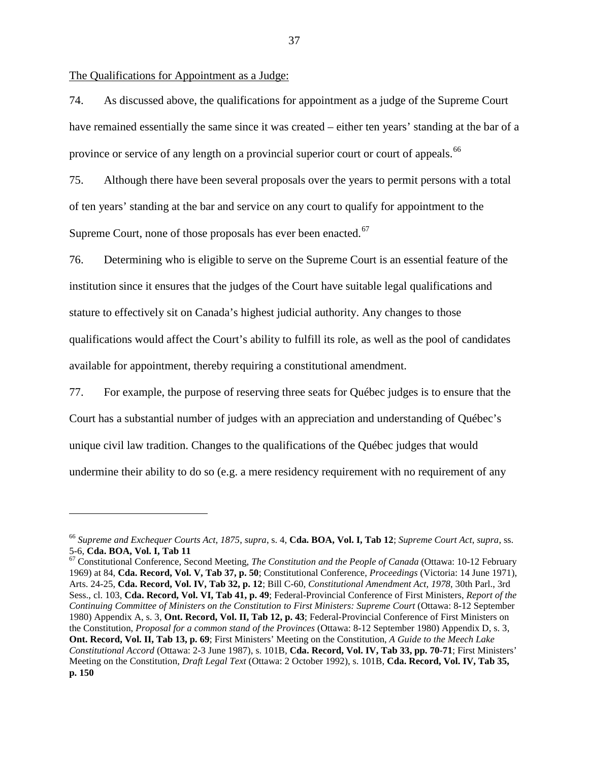<span id="page-41-0"></span>The Qualifications for Appointment as a Judge:

÷,

74. As discussed above, the qualifications for appointment as a judge of the Supreme Court have remained essentially the same since it was created – either ten years' standing at the bar of a province or service of any length on a provincial superior court or court of appeals.<sup>[66](#page-41-1)</sup>

75. Although there have been several proposals over the years to permit persons with a total of ten years' standing at the bar and service on any court to qualify for appointment to the Supreme Court, none of those proposals has ever been enacted.<sup>[67](#page-41-2)</sup>

76. Determining who is eligible to serve on the Supreme Court is an essential feature of the institution since it ensures that the judges of the Court have suitable legal qualifications and stature to effectively sit on Canada's highest judicial authority. Any changes to those qualifications would affect the Court's ability to fulfill its role, as well as the pool of candidates available for appointment, thereby requiring a constitutional amendment.

77. For example, the purpose of reserving three seats for Québec judges is to ensure that the Court has a substantial number of judges with an appreciation and understanding of Québec's unique civil law tradition. Changes to the qualifications of the Québec judges that would undermine their ability to do so (e.g. a mere residency requirement with no requirement of any

<span id="page-41-1"></span><sup>66</sup> *Supreme and Exchequer Courts Act, 1875*, *supra*, s. 4, **Cda. BOA, Vol. I, Tab 12**; *Supreme Court Act*, *supra*, ss.

<span id="page-41-2"></span><sup>5-6,</sup> **Cda. BOA, Vol. I, Tab 11**<br><sup>67</sup> Constitutional Conference, Second Meeting, *The Constitution and the People of Canada* (Ottawa: 10-12 February 1969) at 84, **Cda. Record, Vol. V, Tab 37, p. 50**; Constitutional Conference, *Proceedings* (Victoria: 14 June 1971), Arts. 24-25, **Cda. Record, Vol. IV, Tab 32, p. 12**; Bill C-60, *Constitutional Amendment Act, 1978*, 30th Parl., 3rd Sess., cl. 103, **Cda. Record, Vol. VI, Tab 41, p. 49**; Federal-Provincial Conference of First Ministers, *Report of the Continuing Committee of Ministers on the Constitution to First Ministers: Supreme Court* (Ottawa: 8-12 September 1980) Appendix A, s. 3, **Ont. Record, Vol. II, Tab 12, p. 43**; Federal-Provincial Conference of First Ministers on the Constitution, *Proposal for a common stand of the Provinces* (Ottawa: 8-12 September 1980) Appendix D, s. 3, **Ont. Record, Vol. II, Tab 13, p. 69**; First Ministers' Meeting on the Constitution, *A Guide to the Meech Lake Constitutional Accord* (Ottawa: 2-3 June 1987), s. 101B, **Cda. Record, Vol. IV, Tab 33, pp. 70-71**; First Ministers' Meeting on the Constitution, *Draft Legal Text* (Ottawa: 2 October 1992), s. 101B, **Cda. Record, Vol. IV, Tab 35, p. 150**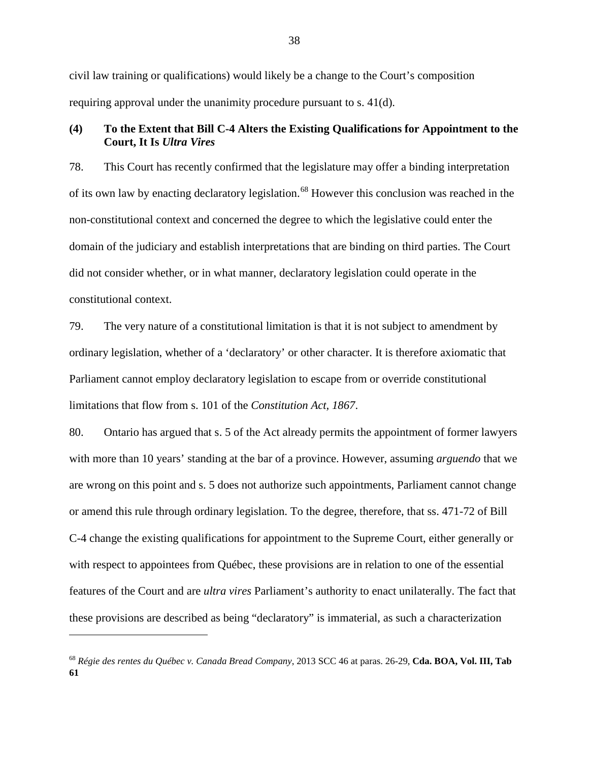civil law training or qualifications) would likely be a change to the Court's composition requiring approval under the unanimity procedure pursuant to s. 41(d).

# <span id="page-42-0"></span>**(4) To the Extent that Bill C-4 Alters the Existing Qualifications for Appointment to the Court, It Is** *Ultra Vires*

78. This Court has recently confirmed that the legislature may offer a binding interpretation of its own law by enacting declaratory legislation.<sup>[68](#page-42-1)</sup> However this conclusion was reached in the non-constitutional context and concerned the degree to which the legislative could enter the domain of the judiciary and establish interpretations that are binding on third parties. The Court did not consider whether, or in what manner, declaratory legislation could operate in the constitutional context.

79. The very nature of a constitutional limitation is that it is not subject to amendment by ordinary legislation, whether of a 'declaratory' or other character. It is therefore axiomatic that Parliament cannot employ declaratory legislation to escape from or override constitutional limitations that flow from s. 101 of the *Constitution Act, 1867*.

80. Ontario has argued that s. 5 of the Act already permits the appointment of former lawyers with more than 10 years' standing at the bar of a province. However, assuming *arguendo* that we are wrong on this point and s. 5 does not authorize such appointments, Parliament cannot change or amend this rule through ordinary legislation. To the degree, therefore, that ss. 471-72 of Bill C-4 change the existing qualifications for appointment to the Supreme Court, either generally or with respect to appointees from Québec, these provisions are in relation to one of the essential features of the Court and are *ultra vires* Parliament's authority to enact unilaterally. The fact that these provisions are described as being "declaratory" is immaterial, as such a characterization

<span id="page-42-1"></span><sup>68</sup> *Régie des rentes du Québec v. Canada Bread Company*, 2013 SCC 46 at paras. 26-29, **Cda. BOA, Vol. III, Tab 61**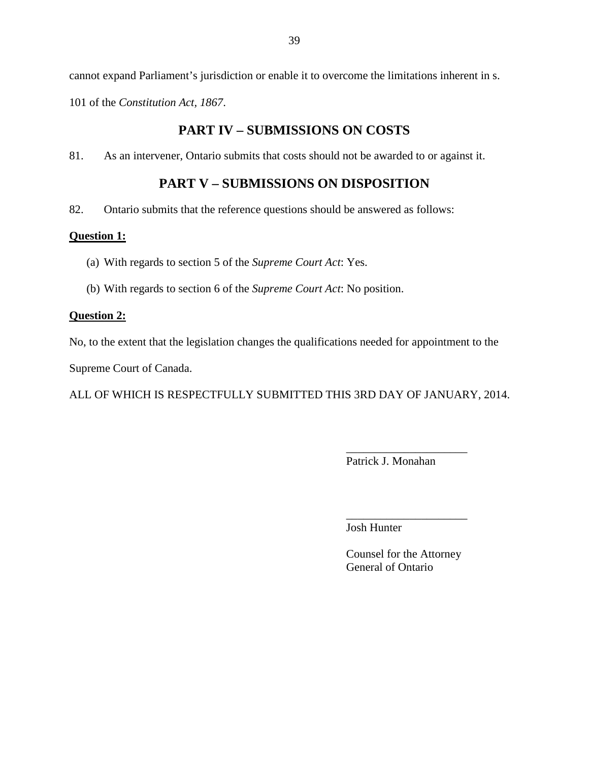cannot expand Parliament's jurisdiction or enable it to overcome the limitations inherent in s. 101 of the *Constitution Act, 1867*.

# **PART IV – SUBMISSIONS ON COSTS**

<span id="page-43-1"></span><span id="page-43-0"></span>81. As an intervener, Ontario submits that costs should not be awarded to or against it.

# **PART V – SUBMISSIONS ON DISPOSITION**

82. Ontario submits that the reference questions should be answered as follows:

# **Question 1:**

- (a) With regards to section 5 of the *Supreme Court Act*: Yes.
- (b) With regards to section 6 of the *Supreme Court Act*: No position.

## **Question 2:**

No, to the extent that the legislation changes the qualifications needed for appointment to the

Supreme Court of Canada.

ALL OF WHICH IS RESPECTFULLY SUBMITTED THIS 3RD DAY OF JANUARY, 2014.

\_\_\_\_\_\_\_\_\_\_\_\_\_\_\_\_\_\_\_\_\_ Patrick J. Monahan

\_\_\_\_\_\_\_\_\_\_\_\_\_\_\_\_\_\_\_\_\_ Josh Hunter

Counsel for the Attorney General of Ontario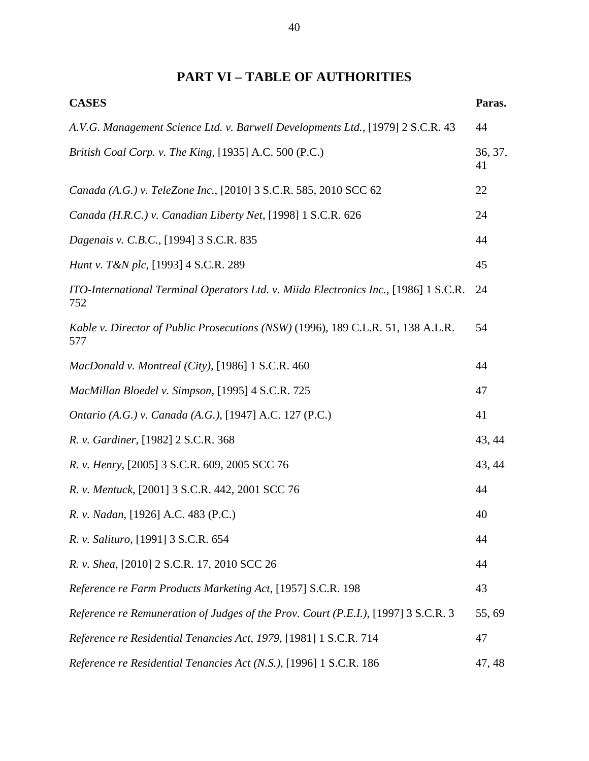# **PART VI – TABLE OF AUTHORITIES**

<span id="page-44-0"></span>

| <b>CASES</b>                                                                                | Paras.        |
|---------------------------------------------------------------------------------------------|---------------|
| A.V.G. Management Science Ltd. v. Barwell Developments Ltd., [1979] 2 S.C.R. 43             | 44            |
| British Coal Corp. v. The King, [1935] A.C. 500 (P.C.)                                      | 36, 37,<br>41 |
| Canada (A.G.) v. TeleZone Inc., [2010] 3 S.C.R. 585, 2010 SCC 62                            | 22            |
| Canada (H.R.C.) v. Canadian Liberty Net, [1998] 1 S.C.R. 626                                | 24            |
| Dagenais v. C.B.C., [1994] 3 S.C.R. 835                                                     | 44            |
| <i>Hunt v. T&amp;N plc</i> , [1993] 4 S.C.R. 289                                            | 45            |
| ITO-International Terminal Operators Ltd. v. Miida Electronics Inc., [1986] 1 S.C.R.<br>752 | 24            |
| Kable v. Director of Public Prosecutions (NSW) (1996), 189 C.L.R. 51, 138 A.L.R.<br>577     | 54            |
| MacDonald v. Montreal (City), [1986] 1 S.C.R. 460                                           | 44            |
| MacMillan Bloedel v. Simpson, [1995] 4 S.C.R. 725                                           | 47            |
| Ontario (A.G.) v. Canada (A.G.), [1947] A.C. 127 (P.C.)                                     | 41            |
| R. v. Gardiner, [1982] 2 S.C.R. 368                                                         | 43, 44        |
| R. v. Henry, [2005] 3 S.C.R. 609, 2005 SCC 76                                               | 43, 44        |
| R. v. Mentuck, [2001] 3 S.C.R. 442, 2001 SCC 76                                             | 44            |
| R. v. Nadan, [1926] A.C. 483 (P.C.)                                                         | 40            |
| R. v. Salituro, [1991] 3 S.C.R. 654                                                         | 44            |
| R. v. Shea, [2010] 2 S.C.R. 17, 2010 SCC 26                                                 | 44            |
| Reference re Farm Products Marketing Act, [1957] S.C.R. 198                                 | 43            |
| Reference re Remuneration of Judges of the Prov. Court (P.E.I.), [1997] 3 S.C.R. 3          | 55,69         |
| Reference re Residential Tenancies Act, 1979, [1981] 1 S.C.R. 714                           | 47            |
| Reference re Residential Tenancies Act (N.S.), [1996] 1 S.C.R. 186                          | 47, 48        |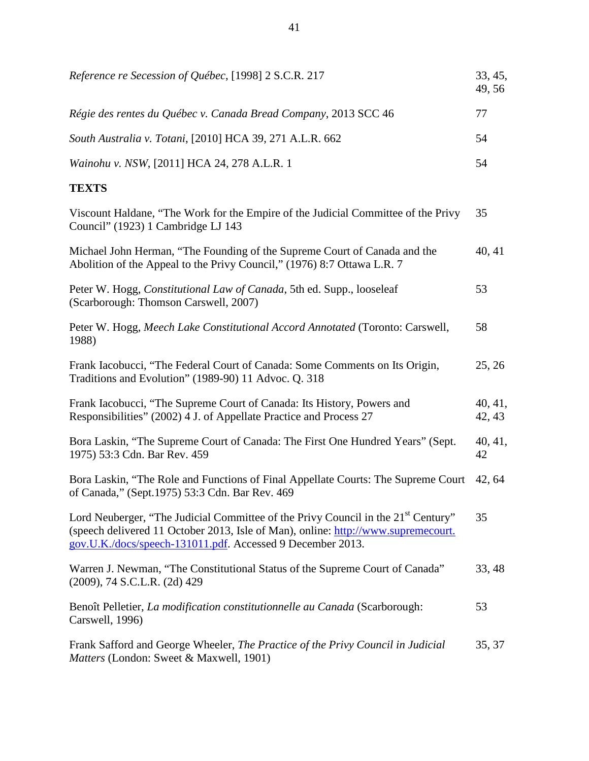| Reference re Secession of Québec, [1998] 2 S.C.R. 217                                                                                                                                                                                            | 33, 45,<br>49, 56 |
|--------------------------------------------------------------------------------------------------------------------------------------------------------------------------------------------------------------------------------------------------|-------------------|
| Régie des rentes du Québec v. Canada Bread Company, 2013 SCC 46                                                                                                                                                                                  | 77                |
| South Australia v. Totani, [2010] HCA 39, 271 A.L.R. 662                                                                                                                                                                                         | 54                |
| Wainohu v. NSW, [2011] HCA 24, 278 A.L.R. 1                                                                                                                                                                                                      | 54                |
| <b>TEXTS</b>                                                                                                                                                                                                                                     |                   |
| Viscount Haldane, "The Work for the Empire of the Judicial Committee of the Privy<br>Council" (1923) 1 Cambridge LJ 143                                                                                                                          | 35                |
| Michael John Herman, "The Founding of the Supreme Court of Canada and the<br>Abolition of the Appeal to the Privy Council," (1976) 8:7 Ottawa L.R. 7                                                                                             | 40, 41            |
| Peter W. Hogg, Constitutional Law of Canada, 5th ed. Supp., looseleaf<br>(Scarborough: Thomson Carswell, 2007)                                                                                                                                   | 53                |
| Peter W. Hogg, Meech Lake Constitutional Accord Annotated (Toronto: Carswell,<br>1988)                                                                                                                                                           | 58                |
| Frank Iacobucci, "The Federal Court of Canada: Some Comments on Its Origin,<br>Traditions and Evolution" (1989-90) 11 Advoc. Q. 318                                                                                                              | 25, 26            |
| Frank Iacobucci, "The Supreme Court of Canada: Its History, Powers and<br>Responsibilities" (2002) 4 J. of Appellate Practice and Process 27                                                                                                     | 40, 41,<br>42, 43 |
| Bora Laskin, "The Supreme Court of Canada: The First One Hundred Years" (Sept.<br>1975) 53:3 Cdn. Bar Rev. 459                                                                                                                                   | 40, 41,<br>42     |
| Bora Laskin, "The Role and Functions of Final Appellate Courts: The Supreme Court<br>of Canada," (Sept. 1975) 53:3 Cdn. Bar Rev. 469                                                                                                             | 42, 64            |
| Lord Neuberger, "The Judicial Committee of the Privy Council in the 21 <sup>st</sup> Century"<br>(speech delivered 11 October 2013, Isle of Man), online: http://www.supremecourt.<br>gov.U.K./docs/speech-131011.pdf. Accessed 9 December 2013. | 35                |
| Warren J. Newman, "The Constitutional Status of the Supreme Court of Canada"<br>(2009), 74 S.C.L.R. (2d) 429                                                                                                                                     | 33, 48            |
| Benoît Pelletier, La modification constitutionnelle au Canada (Scarborough:<br>Carswell, 1996)                                                                                                                                                   | 53                |
| Frank Safford and George Wheeler, The Practice of the Privy Council in Judicial<br>Matters (London: Sweet & Maxwell, 1901)                                                                                                                       | 35, 37            |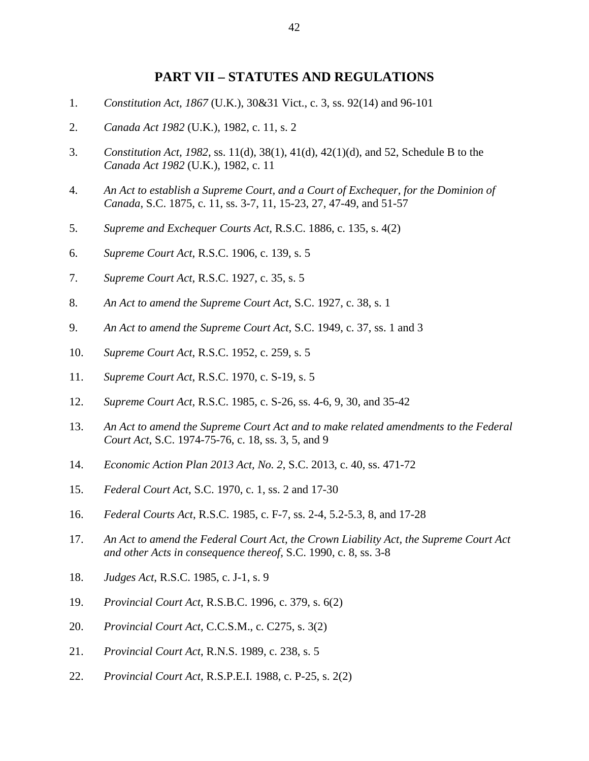## **PART VII – STATUTES AND REGULATIONS**

- <span id="page-46-0"></span>1. *Constitution Act, 1867* (U.K.), 30&31 Vict., c. 3, ss. 92(14) and 96-101
- 2. *Canada Act 1982* (U.K.), 1982, c. 11, s. 2
- 3. *Constitution Act, 1982*, ss. 11(d), 38(1), 41(d), 42(1)(d), and 52, Schedule B to the *Canada Act 1982* (U.K.), 1982, c. 11
- 4. *An Act to establish a Supreme Court, and a Court of Exchequer, for the Dominion of Canada*, S.C. 1875, c. 11, ss. 3-7, 11, 15-23, 27, 47-49, and 51-57
- 5. *Supreme and Exchequer Courts Act,* R.S.C. 1886, c. 135, s. 4(2)
- 6. *Supreme Court Act*, R.S.C. 1906, c. 139, s. 5
- 7. *Supreme Court Act*, R.S.C. 1927, c. 35, s. 5
- 8. *An Act to amend the Supreme Court Act*, S.C. 1927, c. 38, s. 1
- 9. *An Act to amend the Supreme Court Act*, S.C. 1949, c. 37, ss. 1 and 3
- 10. *Supreme Court Act*, R.S.C. 1952, c. 259, s. 5
- 11. *Supreme Court Act*, R.S.C. 1970, c. S-19, s. 5
- 12. *Supreme Court Act,* R.S.C. 1985, c. S-26, ss. 4-6, 9, 30, and 35-42
- 13. *An Act to amend the Supreme Court Act and to make related amendments to the Federal Court Act*, S.C. 1974-75-76, c. 18, ss. 3, 5, and 9
- 14. *Economic Action Plan 2013 Act, No. 2*, S.C. 2013, c. 40, ss. 471-72
- 15. *Federal Court Act*, S.C. 1970, c. 1, ss. 2 and 17-30
- 16. *Federal Courts Act*, R.S.C. 1985, c. F-7, ss. 2-4, 5.2-5.3, 8, and 17-28
- 17. *An Act to amend the Federal Court Act, the Crown Liability Act, the Supreme Court Act and other Acts in consequence thereof*, S.C. 1990, c. 8, ss. 3-8
- 18. *Judges Act*, R.S.C. 1985, c. J-1, s. 9
- 19. *Provincial Court Act*, R.S.B.C. 1996, c. 379, s. 6(2)
- 20. *Provincial Court Act*, C.C.S.M., c. C275, s. 3(2)
- 21. *Provincial Court Act*, R.N.S. 1989, c. 238, s. 5
- 22. *Provincial Court Act*, R.S.P.E.I. 1988, c. P-25, s. 2(2)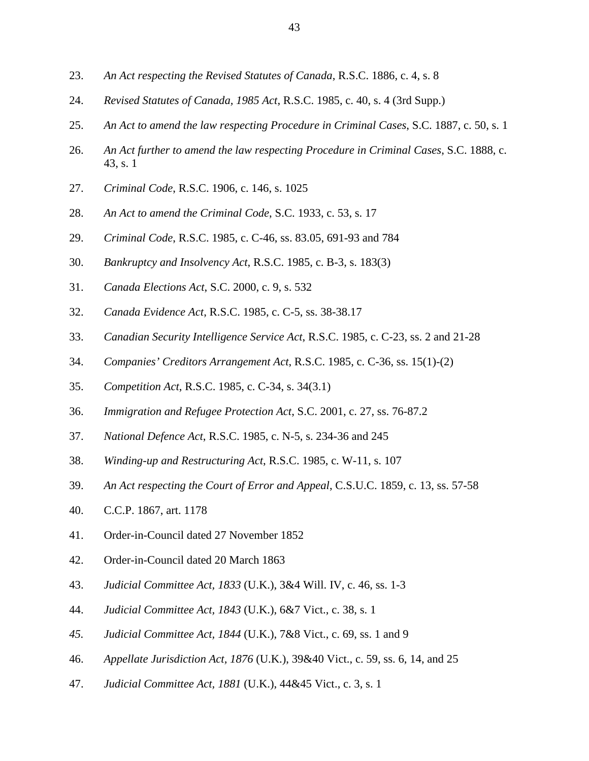- 23. *An Act respecting the Revised Statutes of Canada*, R.S.C. 1886, c. 4, s. 8
- 24. *Revised Statutes of Canada, 1985 Act*, R.S.C. 1985, c. 40, s. 4 (3rd Supp.)
- 25. *An Act to amend the law respecting Procedure in Criminal Cases*, S.C. 1887, c. 50, s. 1
- 26. *An Act further to amend the law respecting Procedure in Criminal Cases*, S.C. 1888, c. 43, s. 1
- 27. *Criminal Code*, R.S.C. 1906, c. 146, s. 1025
- 28. *An Act to amend the Criminal Code*, S.C. 1933, c. 53, s. 17
- 29. *Criminal Code*, R.S.C. 1985, c. C-46, ss. 83.05, 691-93 and 784
- 30. *Bankruptcy and Insolvency Act*, R.S.C. 1985, c. B-3, s. 183(3)
- 31. *Canada Elections Act*, S.C. 2000, c. 9, s. 532
- 32. *Canada Evidence Act*, R.S.C. 1985, c. C-5, ss. 38-38.17
- 33. *Canadian Security Intelligence Service Act*, R.S.C. 1985, c. C-23, ss. 2 and 21-28
- 34. *Companies' Creditors Arrangement Act*, R.S.C. 1985, c. C-36, ss. 15(1)-(2)
- 35. *Competition Act*, R.S.C. 1985, c. C-34, s. 34(3.1)
- 36. *Immigration and Refugee Protection Act*, S.C. 2001, c. 27, ss. 76-87.2
- 37. *National Defence Act*, R.S.C. 1985, c. N-5, s. 234-36 and 245
- 38. *Winding-up and Restructuring Act*, R.S.C. 1985, c. W-11, s. 107
- 39. *An Act respecting the Court of Error and Appeal*, C.S.U.C. 1859, c. 13, ss. 57-58
- 40. C.C.P. 1867, art. 1178
- 41. Order-in-Council dated 27 November 1852
- 42. Order-in-Council dated 20 March 1863
- 43. *Judicial Committee Act, 1833* (U.K.), 3&4 Will. IV, c. 46, ss. 1-3
- 44. *Judicial Committee Act, 1843* (U.K.), 6&7 Vict., c. 38, s. 1
- *45. Judicial Committee Act, 1844* (U.K.), 7&8 Vict., c. 69, ss. 1 and 9
- 46. *Appellate Jurisdiction Act, 1876* (U.K.), 39&40 Vict., c. 59, ss. 6, 14, and 25
- 47. *Judicial Committee Act, 1881* (U.K.), 44&45 Vict., c. 3, s. 1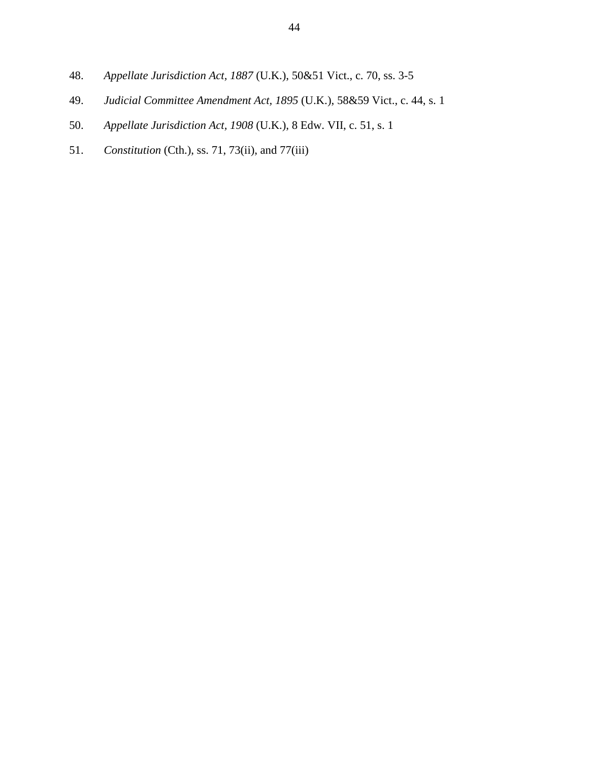- 48. *Appellate Jurisdiction Act, 1887* (U.K.), 50&51 Vict., c. 70, ss. 3-5
- 49. *Judicial Committee Amendment Act, 1895* (U.K.), 58&59 Vict., c. 44, s. 1
- 50. *Appellate Jurisdiction Act, 1908* (U.K.), 8 Edw. VII, c. 51, s. 1
- 51. *Constitution* (Cth.), ss. 71, 73(ii), and 77(iii)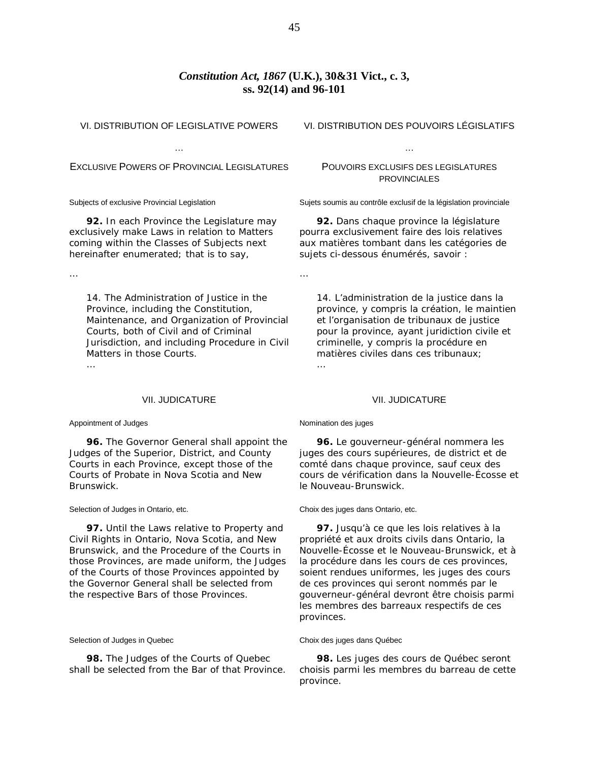## *Constitution Act, 1867* **(U.K.), 30&31 Vict., c. 3, ss. 92(14) and 96-101**

…

VI. DISTRIBUTION OF LEGISLATIVE POWERS

… EXCLUSIVE POWERS OF PROVINCIAL LEGISLATURES

Subjects of exclusive Provincial Legislation

**92.** In each Province the Legislature may exclusively make Laws in relation to Matters coming within the Classes of Subjects next hereinafter enumerated; that is to say,

…

14. The Administration of Justice in the Province, including the Constitution, Maintenance, and Organization of Provincial Courts, both of Civil and of Criminal Jurisdiction, and including Procedure in Civil Matters in those Courts. …

VII. JUDICATURE

### Appointment of Judges

**96.** The Governor General shall appoint the Judges of the Superior, District, and County Courts in each Province, except those of the Courts of Probate in Nova Scotia and New Brunswick.

#### Selection of Judges in Ontario, etc.

**97.** Until the Laws relative to Property and Civil Rights in Ontario, Nova Scotia, and New Brunswick, and the Procedure of the Courts in those Provinces, are made uniform, the Judges of the Courts of those Provinces appointed by the Governor General shall be selected from the respective Bars of those Provinces.

### Selection of Judges in Quebec

**98.** The Judges of the Courts of Quebec shall be selected from the Bar of that Province. VI. DISTRIBUTION DES POUVOIRS LÉGISLATIFS

…

## POUVOIRS EXCLUSIFS DES LEGISLATURES **PROVINCIALES**

Sujets soumis au contrôle exclusif de la législation provinciale

**92.** Dans chaque province la législature pourra exclusivement faire des lois relatives aux matières tombant dans les catégories de sujets ci-dessous énumérés, savoir :

14. L'administration de la justice dans la province, y compris la création, le maintien et l'organisation de tribunaux de justice pour la province, ayant juridiction civile et criminelle, y compris la procédure en matières civiles dans ces tribunaux; …

### VII. JUDICATURE

### Nomination des juges

**96.** Le gouverneur-général nommera les juges des cours supérieures, de district et de comté dans chaque province, sauf ceux des cours de vérification dans la Nouvelle-Écosse et le Nouveau-Brunswick.

#### Choix des juges dans Ontario, etc.

**97.** Jusqu'à ce que les lois relatives à la propriété et aux droits civils dans Ontario, la Nouvelle-Écosse et le Nouveau-Brunswick, et à la procédure dans les cours de ces provinces, soient rendues uniformes, les juges des cours de ces provinces qui seront nommés par le gouverneur-général devront être choisis parmi les membres des barreaux respectifs de ces provinces.

### Choix des juges dans Québec

**98.** Les juges des cours de Québec seront choisis parmi les membres du barreau de cette province.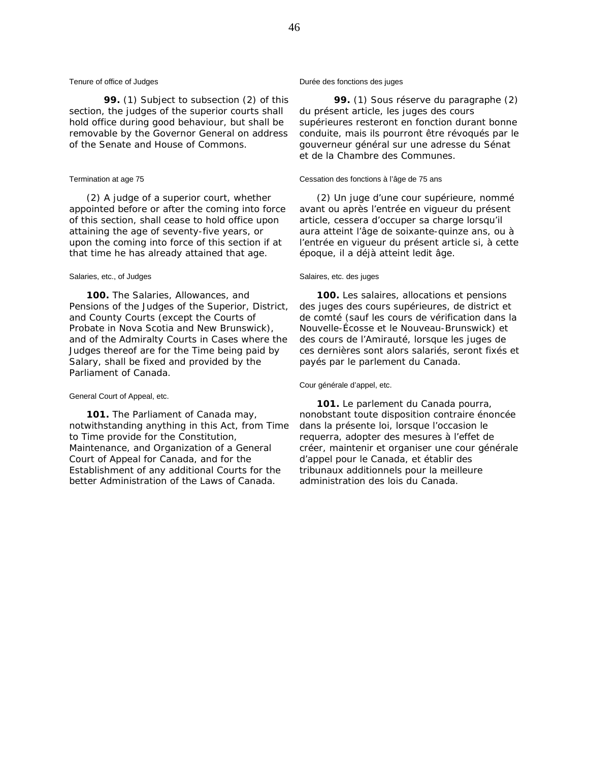### Tenure of office of Judges

**99.** (1) Subject to subsection (2) of this section, the judges of the superior courts shall hold office during good behaviour, but shall be removable by the Governor General on address of the Senate and House of Commons.

### Termination at age 75

(2) A judge of a superior court, whether appointed before or after the coming into force of this section, shall cease to hold office upon attaining the age of seventy-five years, or upon the coming into force of this section if at that time he has already attained that age.

### Salaries, etc., of Judges

**100.** The Salaries, Allowances, and Pensions of the Judges of the Superior, District, and County Courts (except the Courts of Probate in Nova Scotia and New Brunswick), and of the Admiralty Courts in Cases where the Judges thereof are for the Time being paid by Salary, shall be fixed and provided by the Parliament of Canada.

### General Court of Appeal, etc.

**101.** The Parliament of Canada may, notwithstanding anything in this Act, from Time to Time provide for the Constitution, Maintenance, and Organization of a General Court of Appeal for Canada, and for the Establishment of any additional Courts for the better Administration of the Laws of Canada.

### Durée des fonctions des juges

**99.** (1) Sous réserve du paragraphe (2) du présent article, les juges des cours supérieures resteront en fonction durant bonne conduite, mais ils pourront être révoqués par le gouverneur général sur une adresse du Sénat et de la Chambre des Communes.

### Cessation des fonctions à l'âge de 75 ans

(2) Un juge d'une cour supérieure, nommé avant ou après l'entrée en vigueur du présent article, cessera d'occuper sa charge lorsqu'il aura atteint l'âge de soixante-quinze ans, ou à l'entrée en vigueur du présent article si, à cette époque, il a déjà atteint ledit âge.

### Salaires, etc. des juges

**100.** Les salaires, allocations et pensions des juges des cours supérieures, de district et de comté (sauf les cours de vérification dans la Nouvelle-Écosse et le Nouveau-Brunswick) et des cours de l'Amirauté, lorsque les juges de ces dernières sont alors salariés, seront fixés et payés par le parlement du Canada.

### Cour générale d'appel, etc.

**101.** Le parlement du Canada pourra, nonobstant toute disposition contraire énoncée dans la présente loi, lorsque l'occasion le requerra, adopter des mesures à l'effet de créer, maintenir et organiser une cour générale d'appel pour le Canada, et établir des tribunaux additionnels pour la meilleure administration des lois du Canada.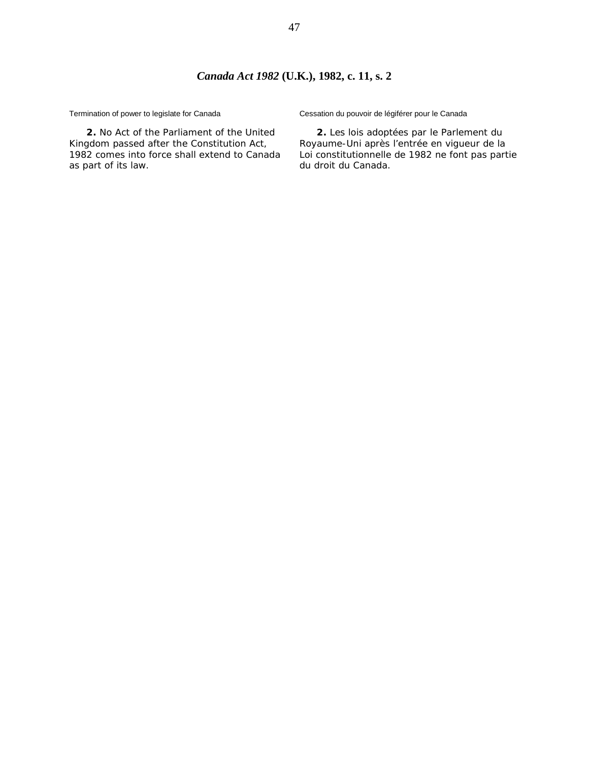Termination of power to legislate for Canada

**2.** No Act of the Parliament of the United Kingdom passed after the Constitution Act, 1982 comes into force shall extend to Canada as part of its law.

Cessation du pouvoir de légiférer pour le Canada

**2.** Les lois adoptées par le Parlement du Royaume-Uni après l'entrée en vigueur de la Loi constitutionnelle de 1982 ne font pas partie du droit du Canada.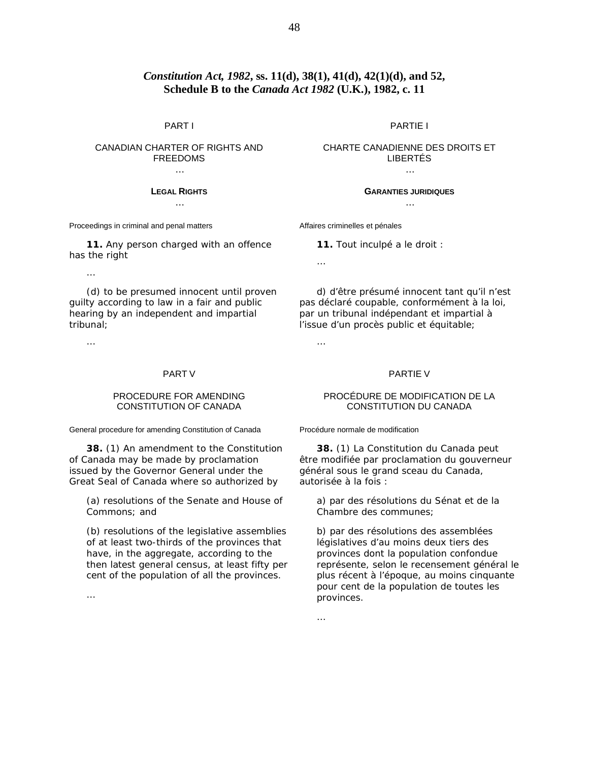## *Constitution Act, 1982***, ss. 11(d), 38(1), 41(d), 42(1)(d), and 52, Schedule B to the** *Canada Act 1982* **(U.K.), 1982, c. 11**

### PART I

## CANADIAN CHARTER OF RIGHTS AND FREEDOMS

### **LEGAL RIGHTS** …

Proceedings in criminal and penal matters

**11.** Any person charged with an offence has the right

…

(d) to be presumed innocent until proven guilty according to law in a fair and public hearing by an independent and impartial tribunal;

…

### PART V

## PROCEDURE FOR AMENDING CONSTITUTION OF CANADA

General procedure for amending Constitution of Canada

**38.** (1) An amendment to the Constitution of Canada may be made by proclamation issued by the Governor General under the Great Seal of Canada where so authorized by

(*a*) resolutions of the Senate and House of Commons; and

(*b*) resolutions of the legislative assemblies of at least two-thirds of the provinces that have, in the aggregate, according to the then latest general census, at least fifty per cent of the population of all the provinces.

PARTIE I

CHARTE CANADIENNE DES DROITS ET LIBERTÉS …

> **GARANTIES JURIDIQUES** …

Affaires criminelles et pénales

**11.** Tout inculpé a le droit :

d) d'être présumé innocent tant qu'il n'est pas déclaré coupable, conformément à la loi, par un tribunal indépendant et impartial à l'issue d'un procès public et équitable;

…

…

#### PARTIE V

### PROCÉDURE DE MODIFICATION DE LA CONSTITUTION DU CANADA

Procédure normale de modification

**38.** (1) La Constitution du Canada peut être modifiée par proclamation du gouverneur général sous le grand sceau du Canada, autorisée à la fois :

*a*) par des résolutions du Sénat et de la Chambre des communes;

*b*) par des résolutions des assemblées législatives d'au moins deux tiers des provinces dont la population confondue représente, selon le recensement général le plus récent à l'époque, au moins cinquante pour cent de la population de toutes les provinces.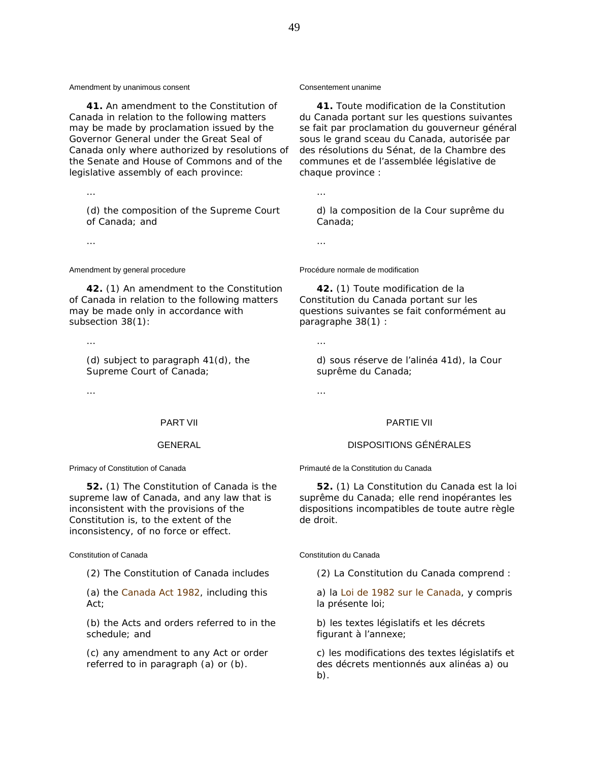Amendment by unanimous consent

**41.** An amendment to the Constitution of Canada in relation to the following matters may be made by proclamation issued by the Governor General under the Great Seal of Canada only where authorized by resolutions of the Senate and House of Commons and of the legislative assembly of each province:

(*d*) the composition of the Supreme Court of Canada; and

…

Amendment by general procedure

**42.** (1) An amendment to the Constitution of Canada in relation to the following matters may be made only in accordance with subsection 38(1):

…

…

(*d*) subject to paragraph 41(*d*), the Supreme Court of Canada;

…

### PART VII

### GENERAL

Primacy of Constitution of Canada

**52.** (1) The Constitution of Canada is the supreme law of Canada, and any law that is inconsistent with the provisions of the Constitution is, to the extent of the inconsistency, of no force or effect.

Constitution of Canada

(2) The Constitution of Canada includes

(*a*) the *Canada Act 1982*, including this Act;

(*b*) the Acts and orders referred to in the schedule; and

(*c*) any amendment to any Act or order referred to in paragraph (*a*) or (*b*).

### Consentement unanime

**41.** Toute modification de la Constitution du Canada portant sur les questions suivantes se fait par proclamation du gouverneur général sous le grand sceau du Canada, autorisée par des résolutions du Sénat, de la Chambre des communes et de l'assemblée législative de chaque province :

*d*) la composition de la Cour suprême du Canada;

…

…

Procédure normale de modification

**42.** (1) Toute modification de la Constitution du Canada portant sur les questions suivantes se fait conformément au paragraphe 38(1) :

*d*) sous réserve de l'alinéa 41*d*), la Cour suprême du Canada;

…

…

### PARTIE VII

## DISPOSITIONS GÉNÉRALES

Primauté de la Constitution du Canada

**52.** (1) La Constitution du Canada est la loi suprême du Canada; elle rend inopérantes les dispositions incompatibles de toute autre règle de droit.

Constitution du Canada

(2) La Constitution du Canada comprend :

*a*) la *Loi de 1982 sur le Canada*, y compris la présente loi;

*b*) les textes législatifs et les décrets figurant à l'annexe;

*c*) les modifications des textes législatifs et des décrets mentionnés aux alinéas *a*) ou *b*).